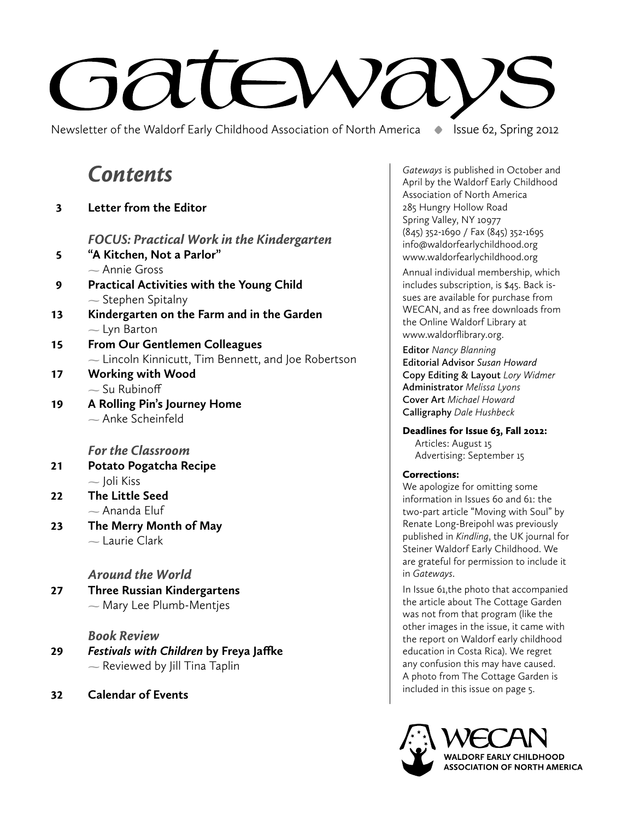# **Fand** EM

Newsletter of the Waldorf Early Childhood Association of North America **•** Issue 62, Spring 2012

# **Contents**

3 **Letter from the Editor** 

FOCUS: Practical Work in the Kindergarten

- 5 **"A Kitchen, Not a Parlor"**  Annie Gross 9 **Practical Activities with the Young Child**
- Stephen Spitalny
- 13 **Kindergarten on the Farm and in the Garden**  $-$  Lyn Barton
- 15 **From Our Gentlemen Colleagues**  $\sim$  Lincoln Kinnicutt, Tim Bennett, and Joe Robertson
- 17 **Working with Wood**  $\sim$  Su Rubinoff
- 19 **A Rolling Pin's Journey Home**  $\sim$  Anke Scheinfeld

### For the Classroom

- 21 **Potato Pogatcha Recipe**  $-$  Joli Kiss
- 22 **The Little Seed**  $\sim$  Ananda Eluf
- 23 **The Merry Month of May**  $\sim$  Laurie Clark

### Around the World

27 **Three Russian Kindergartens**  $\sim$  Mary Lee Plumb-Mentjes

### Book Review

- 29 *Festivals with Children* **by Freya Jaffke**  $\sim$  Reviewed by Jill Tina Taplin
- 32 **Calendar of Events**

*Gateways* is published in October and April by the Waldorf Early Childhood Association of North America 285 Hungry Hollow Road Spring Valley, NY 10977 (845) 352-1690 / Fax (845) 352-1695 info@waldorfearlychildhood.org www.waldorfearlychildhood.org

Annual individual membership, which includes subscription, is \$45. Back issues are available for purchase from WECAN, and as free downloads from the Online Waldorf Library at www.waldorflibrary.org.

**Editor** *Nancy Blanning* **Editorial Advisor** *Susan Howard*  **Copy Editing & Layout** *Lory Widmer*  **Administrator** *Melissa Lyons* **Cover Art** *Michael Howard* **Calligraphy** *Dale Hushbeck*

Deadlines for Issue 63, Fall 2012:

 Articles: August 15 Advertising: September 15

### Corrections:

We apologize for omitting some information in Issues 60 and 61: the two-part article "Moving with Soul" by Renate Long-Breipohl was previously published in *Kindling*, the UK journal for Steiner Waldorf Early Childhood. We are grateful for permission to include it in *Gateways*.

In Issue 61,the photo that accompanied the article about The Cottage Garden was not from that program (like the other images in the issue, it came with the report on Waldorf early childhood education in Costa Rica). We regret any confusion this may have caused. A photo from The Cottage Garden is included in this issue on page 5.

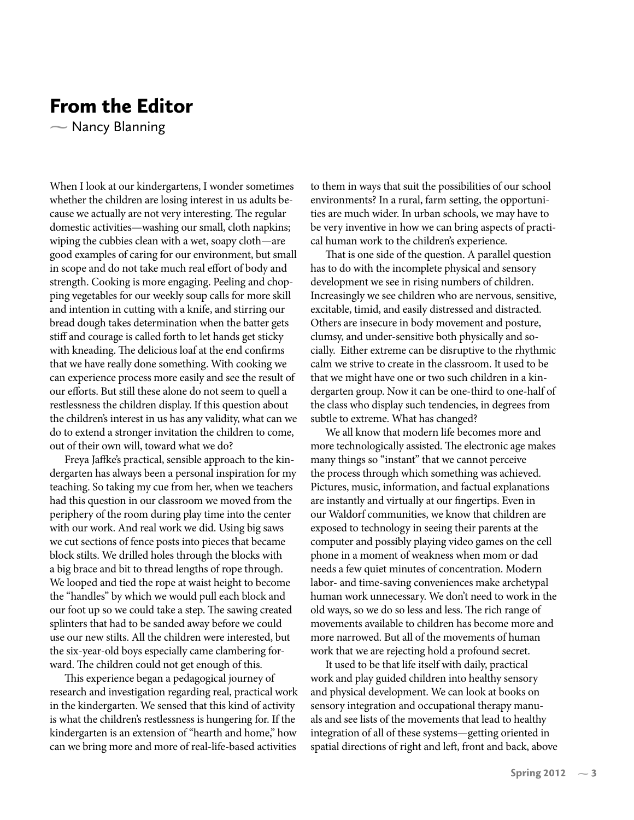# From the Editor

 $\sim$  Nancy Blanning

When I look at our kindergartens, I wonder sometimes whether the children are losing interest in us adults because we actually are not very interesting. The regular domestic activities—washing our small, cloth napkins; wiping the cubbies clean with a wet, soapy cloth—are good examples of caring for our environment, but small in scope and do not take much real effort of body and strength. Cooking is more engaging. Peeling and chopping vegetables for our weekly soup calls for more skill and intention in cutting with a knife, and stirring our bread dough takes determination when the batter gets stiff and courage is called forth to let hands get sticky with kneading. The delicious loaf at the end confirms that we have really done something. With cooking we can experience process more easily and see the result of our efforts. But still these alone do not seem to quell a restlessness the children display. If this question about the children's interest in us has any validity, what can we do to extend a stronger invitation the children to come, out of their own will, toward what we do?

Freya Jaffke's practical, sensible approach to the kindergarten has always been a personal inspiration for my teaching. So taking my cue from her, when we teachers had this question in our classroom we moved from the periphery of the room during play time into the center with our work. And real work we did. Using big saws we cut sections of fence posts into pieces that became block stilts. We drilled holes through the blocks with a big brace and bit to thread lengths of rope through. We looped and tied the rope at waist height to become the "handles" by which we would pull each block and our foot up so we could take a step. The sawing created splinters that had to be sanded away before we could use our new stilts. All the children were interested, but the six-year-old boys especially came clambering forward. The children could not get enough of this.

This experience began a pedagogical journey of research and investigation regarding real, practical work in the kindergarten. We sensed that this kind of activity is what the children's restlessness is hungering for. If the kindergarten is an extension of "hearth and home," how can we bring more and more of real-life-based activities

to them in ways that suit the possibilities of our school environments? In a rural, farm setting, the opportunities are much wider. In urban schools, we may have to be very inventive in how we can bring aspects of practical human work to the children's experience.

That is one side of the question. A parallel question has to do with the incomplete physical and sensory development we see in rising numbers of children. Increasingly we see children who are nervous, sensitive, excitable, timid, and easily distressed and distracted. Others are insecure in body movement and posture, clumsy, and under-sensitive both physically and socially. Either extreme can be disruptive to the rhythmic calm we strive to create in the classroom. It used to be that we might have one or two such children in a kindergarten group. Now it can be one-third to one-half of the class who display such tendencies, in degrees from subtle to extreme. What has changed?

We all know that modern life becomes more and more technologically assisted. The electronic age makes many things so "instant" that we cannot perceive the process through which something was achieved. Pictures, music, information, and factual explanations are instantly and virtually at our fingertips. Even in our Waldorf communities, we know that children are exposed to technology in seeing their parents at the computer and possibly playing video games on the cell phone in a moment of weakness when mom or dad needs a few quiet minutes of concentration. Modern labor- and time-saving conveniences make archetypal human work unnecessary. We don't need to work in the old ways, so we do so less and less. The rich range of movements available to children has become more and more narrowed. But all of the movements of human work that we are rejecting hold a profound secret.

It used to be that life itself with daily, practical work and play guided children into healthy sensory and physical development. We can look at books on sensory integration and occupational therapy manuals and see lists of the movements that lead to healthy integration of all of these systems—getting oriented in spatial directions of right and left, front and back, above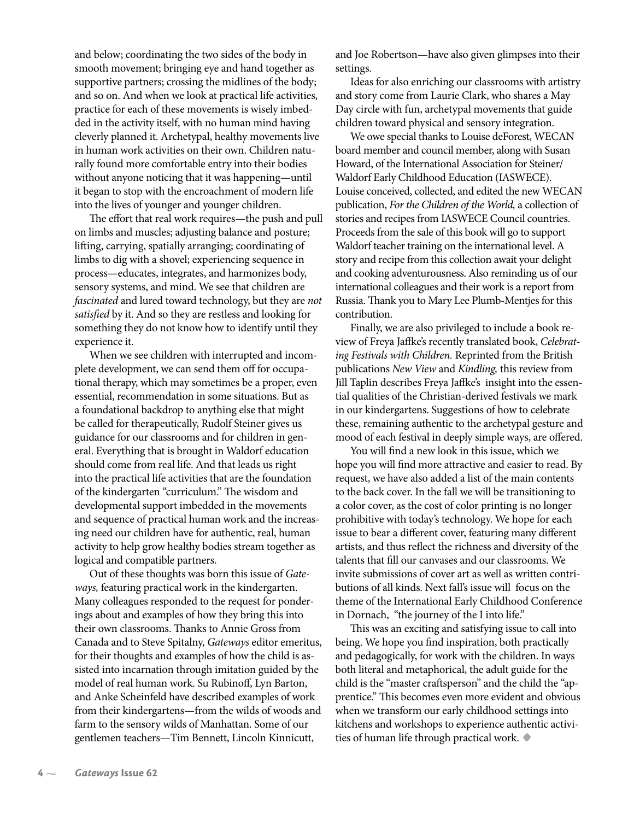and below; coordinating the two sides of the body in smooth movement; bringing eye and hand together as supportive partners; crossing the midlines of the body; and so on. And when we look at practical life activities, practice for each of these movements is wisely imbedded in the activity itself, with no human mind having cleverly planned it. Archetypal, healthy movements live in human work activities on their own. Children naturally found more comfortable entry into their bodies without anyone noticing that it was happening—until it began to stop with the encroachment of modern life into the lives of younger and younger children.

The effort that real work requires—the push and pull on limbs and muscles; adjusting balance and posture; lifting, carrying, spatially arranging; coordinating of limbs to dig with a shovel; experiencing sequence in process—educates, integrates, and harmonizes body, sensory systems, and mind. We see that children are *fascinated* and lured toward technology, but they are *not*  satisfied by it. And so they are restless and looking for something they do not know how to identify until they experience it.

When we see children with interrupted and incomplete development, we can send them off for occupational therapy, which may sometimes be a proper, even essential, recommendation in some situations. But as a foundational backdrop to anything else that might be called for therapeutically, Rudolf Steiner gives us guidance for our classrooms and for children in general. Everything that is brought in Waldorf education should come from real life. And that leads us right into the practical life activities that are the foundation of the kindergarten "curriculum." The wisdom and developmental support imbedded in the movements and sequence of practical human work and the increasing need our children have for authentic, real, human activity to help grow healthy bodies stream together as logical and compatible partners.

Out of these thoughts was born this issue of *Gateways,* featuring practical work in the kindergarten. Many colleagues responded to the request for ponderings about and examples of how they bring this into their own classrooms. Thanks to Annie Gross from Canada and to Steve Spitalny, *Gateways* editor emeritus, for their thoughts and examples of how the child is assisted into incarnation through imitation guided by the model of real human work. Su Rubinoff, Lyn Barton, and Anke Scheinfeld have described examples of work from their kindergartens—from the wilds of woods and farm to the sensory wilds of Manhattan. Some of our gentlemen teachers—Tim Bennett, Lincoln Kinnicutt,

and Joe Robertson—have also given glimpses into their settings.

Ideas for also enriching our classrooms with artistry and story come from Laurie Clark, who shares a May Day circle with fun, archetypal movements that guide children toward physical and sensory integration.

We owe special thanks to Louise deForest, WECAN board member and council member, along with Susan Howard, of the International Association for Steiner/ Waldorf Early Childhood Education (IASWECE). Louise conceived, collected, and edited the new WECAN publication, *For the Children of the World,* a collection of stories and recipes from IASWECE Council countries. Proceeds from the sale of this book will go to support Waldorf teacher training on the international level. A story and recipe from this collection await your delight and cooking adventurousness. Also reminding us of our international colleagues and their work is a report from Russia. Thank you to Mary Lee Plumb-Mentjes for this contribution.

Finally, we are also privileged to include a book review of Freya Jaffke's recently translated book, *Celebrating Festivals with Children.* Reprinted from the British publications *New View* and *Kindling,* this review from Jill Taplin describes Freya Jaffke's insight into the essential qualities of the Christian-derived festivals we mark in our kindergartens. Suggestions of how to celebrate these, remaining authentic to the archetypal gesture and mood of each festival in deeply simple ways, are offered.

You will find a new look in this issue, which we hope you will find more attractive and easier to read. By request, we have also added a list of the main contents to the back cover. In the fall we will be transitioning to a color cover, as the cost of color printing is no longer prohibitive with today's technology. We hope for each issue to bear a different cover, featuring many different artists, and thus reflect the richness and diversity of the talents that fill our canvases and our classrooms. We invite submissions of cover art as well as written contributions of all kinds. Next fall's issue will focus on the theme of the International Early Childhood Conference in Dornach, "the journey of the I into life."

This was an exciting and satisfying issue to call into being. We hope you find inspiration, both practically and pedagogically, for work with the children. In ways both literal and metaphorical, the adult guide for the child is the "master craftsperson" and the child the "apprentice." This becomes even more evident and obvious when we transform our early childhood settings into kitchens and workshops to experience authentic activities of human life through practical work.**•**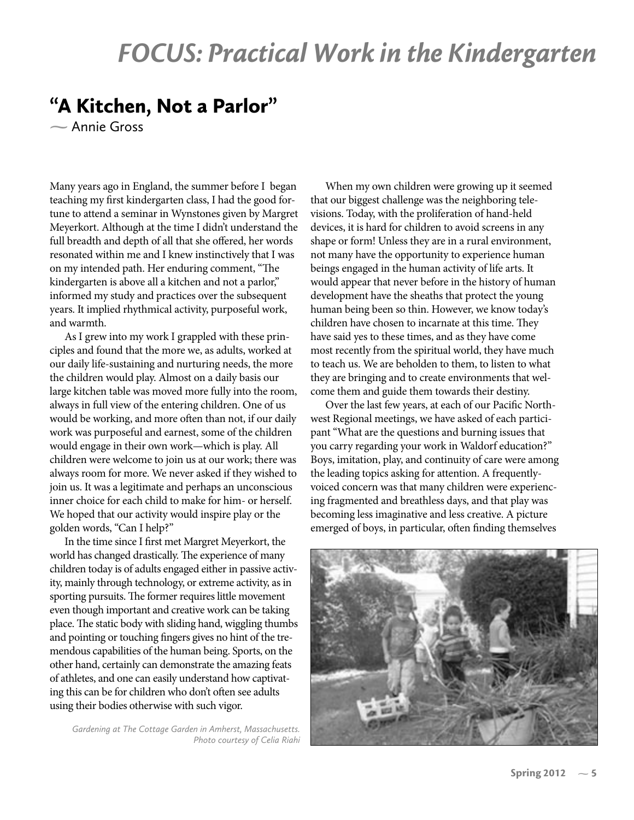# FOCUS: Practical Work in the Kindergarten

# "A Kitchen, Not a Parlor"

Annie Gross

Many years ago in England, the summer before I began teaching my first kindergarten class, I had the good fortune to attend a seminar in Wynstones given by Margret Meyerkort. Although at the time I didn't understand the full breadth and depth of all that she offered, her words resonated within me and I knew instinctively that I was on my intended path. Her enduring comment, "The kindergarten is above all a kitchen and not a parlor," informed my study and practices over the subsequent years. It implied rhythmical activity, purposeful work, and warmth.

As I grew into my work I grappled with these principles and found that the more we, as adults, worked at our daily life-sustaining and nurturing needs, the more the children would play. Almost on a daily basis our large kitchen table was moved more fully into the room, always in full view of the entering children. One of us would be working, and more often than not, if our daily work was purposeful and earnest, some of the children would engage in their own work—which is play. All children were welcome to join us at our work; there was always room for more. We never asked if they wished to join us. It was a legitimate and perhaps an unconscious inner choice for each child to make for him- or herself. We hoped that our activity would inspire play or the golden words, "Can I help?"

In the time since I first met Margret Meyerkort, the world has changed drastically. The experience of many children today is of adults engaged either in passive activity, mainly through technology, or extreme activity, as in sporting pursuits. The former requires little movement even though important and creative work can be taking place. The static body with sliding hand, wiggling thumbs and pointing or touching fingers gives no hint of the tremendous capabilities of the human being. Sports, on the other hand, certainly can demonstrate the amazing feats of athletes, and one can easily understand how captivating this can be for children who don't often see adults using their bodies otherwise with such vigor.

*Gardening at The Cottage Garden in Amherst, Massachusetts. Photo courtesy of Celia Riahi*

When my own children were growing up it seemed that our biggest challenge was the neighboring televisions. Today, with the proliferation of hand-held devices, it is hard for children to avoid screens in any shape or form! Unless they are in a rural environment, not many have the opportunity to experience human beings engaged in the human activity of life arts. It would appear that never before in the history of human development have the sheaths that protect the young human being been so thin. However, we know today's children have chosen to incarnate at this time. They have said yes to these times, and as they have come most recently from the spiritual world, they have much to teach us. We are beholden to them, to listen to what they are bringing and to create environments that welcome them and guide them towards their destiny.

Over the last few years, at each of our Pacific Northwest Regional meetings, we have asked of each participant "What are the questions and burning issues that you carry regarding your work in Waldorf education?" Boys, imitation, play, and continuity of care were among the leading topics asking for attention. A frequentlyvoiced concern was that many children were experiencing fragmented and breathless days, and that play was becoming less imaginative and less creative. A picture emerged of boys, in particular, often finding themselves

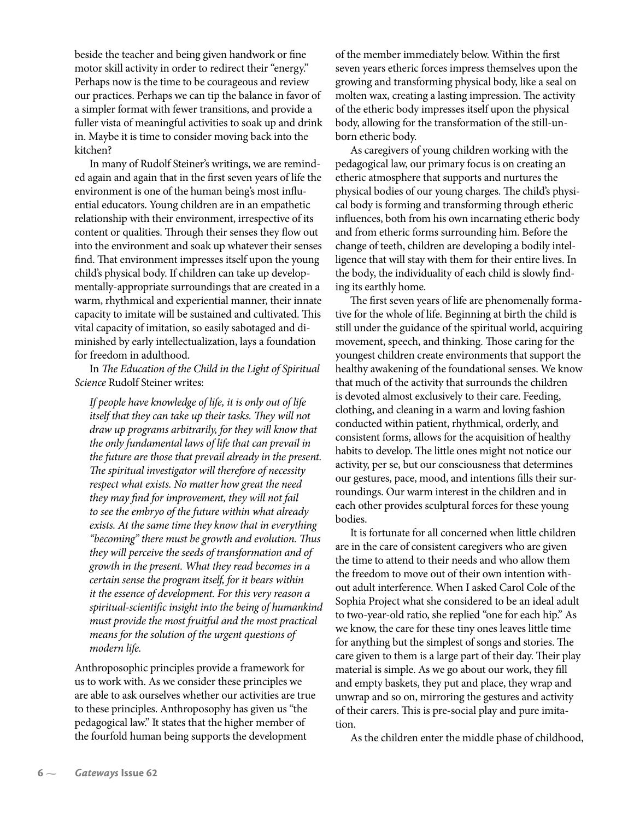beside the teacher and being given handwork or fine motor skill activity in order to redirect their "energy." Perhaps now is the time to be courageous and review our practices. Perhaps we can tip the balance in favor of a simpler format with fewer transitions, and provide a fuller vista of meaningful activities to soak up and drink in. Maybe it is time to consider moving back into the kitchen?

In many of Rudolf Steiner's writings, we are reminded again and again that in the first seven years of life the environment is one of the human being's most influential educators. Young children are in an empathetic relationship with their environment, irrespective of its content or qualities. Through their senses they flow out into the environment and soak up whatever their senses find. That environment impresses itself upon the young child's physical body. If children can take up developmentally-appropriate surroundings that are created in a warm, rhythmical and experiential manner, their innate capacity to imitate will be sustained and cultivated. This vital capacity of imitation, so easily sabotaged and diminished by early intellectualization, lays a foundation for freedom in adulthood.

In *The Education of the Child in the Light of Spiritual Science* Rudolf Steiner writes:

*If people have knowledge of life, it is only out of life itself that they can take up their tasks. They will not draw up programs arbitrarily, for they will know that the only fundamental laws of life that can prevail in the future are those that prevail already in the present. The spiritual investigator will therefore of necessity respect what exists. No matter how great the need they may �nd for improvement, they will not fail to see the embryo of the future within what already exists. At the same time they know that in everything "becoming" there must be growth and evolution. Thus they will perceive the seeds of transformation and of growth in the present. What they read becomes in a certain sense the program itself, for it bears within it the essence of development. For this very reason a spiritual-scienti�c insight into the being of humankind must provide the most fruitful and the most practical means for the solution of the urgent questions of modern life.*

Anthroposophic principles provide a framework for us to work with. As we consider these principles we are able to ask ourselves whether our activities are true to these principles. Anthroposophy has given us "the pedagogical law." It states that the higher member of the fourfold human being supports the development

of the member immediately below. Within the first seven years etheric forces impress themselves upon the growing and transforming physical body, like a seal on molten wax, creating a lasting impression. The activity of the etheric body impresses itself upon the physical body, allowing for the transformation of the still-unborn etheric body.

As caregivers of young children working with the pedagogical law, our primary focus is on creating an etheric atmosphere that supports and nurtures the physical bodies of our young charges. The child's physical body is forming and transforming through etheric influences, both from his own incarnating etheric body and from etheric forms surrounding him. Before the change of teeth, children are developing a bodily intelligence that will stay with them for their entire lives. In the body, the individuality of each child is slowly finding its earthly home.

The first seven years of life are phenomenally formative for the whole of life. Beginning at birth the child is still under the guidance of the spiritual world, acquiring movement, speech, and thinking. Those caring for the youngest children create environments that support the healthy awakening of the foundational senses. We know that much of the activity that surrounds the children is devoted almost exclusively to their care. Feeding, clothing, and cleaning in a warm and loving fashion conducted within patient, rhythmical, orderly, and consistent forms, allows for the acquisition of healthy habits to develop. The little ones might not notice our activity, per se, but our consciousness that determines our gestures, pace, mood, and intentions fills their surroundings. Our warm interest in the children and in each other provides sculptural forces for these young bodies.

It is fortunate for all concerned when little children are in the care of consistent caregivers who are given the time to attend to their needs and who allow them the freedom to move out of their own intention without adult interference. When I asked Carol Cole of the Sophia Project what she considered to be an ideal adult to two-year-old ratio, she replied "one for each hip." As we know, the care for these tiny ones leaves little time for anything but the simplest of songs and stories. The care given to them is a large part of their day. Their play material is simple. As we go about our work, they fill and empty baskets, they put and place, they wrap and unwrap and so on, mirroring the gestures and activity of their carers. This is pre-social play and pure imitation.

As the children enter the middle phase of childhood,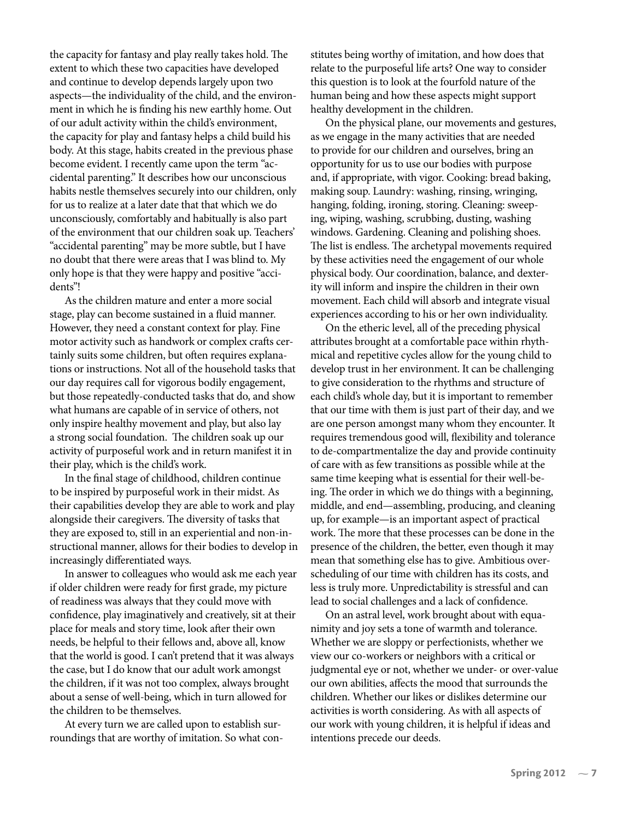the capacity for fantasy and play really takes hold. The extent to which these two capacities have developed and continue to develop depends largely upon two aspects—the individuality of the child, and the environment in which he is finding his new earthly home. Out of our adult activity within the child's environment, the capacity for play and fantasy helps a child build his body. At this stage, habits created in the previous phase become evident. I recently came upon the term "accidental parenting." It describes how our unconscious habits nestle themselves securely into our children, only for us to realize at a later date that that which we do unconsciously, comfortably and habitually is also part of the environment that our children soak up. Teachers' "accidental parenting" may be more subtle, but I have no doubt that there were areas that I was blind to. My only hope is that they were happy and positive "accidents"!

As the children mature and enter a more social stage, play can become sustained in a fluid manner. However, they need a constant context for play. Fine motor activity such as handwork or complex crafts certainly suits some children, but often requires explanations or instructions. Not all of the household tasks that our day requires call for vigorous bodily engagement, but those repeatedly-conducted tasks that do, and show what humans are capable of in service of others, not only inspire healthy movement and play, but also lay a strong social foundation. The children soak up our activity of purposeful work and in return manifest it in their play, which is the child's work.

In the final stage of childhood, children continue to be inspired by purposeful work in their midst. As their capabilities develop they are able to work and play alongside their caregivers. The diversity of tasks that they are exposed to, still in an experiential and non-instructional manner, allows for their bodies to develop in increasingly differentiated ways.

In answer to colleagues who would ask me each year if older children were ready for first grade, my picture of readiness was always that they could move with confidence, play imaginatively and creatively, sit at their place for meals and story time, look after their own needs, be helpful to their fellows and, above all, know that the world is good. I can't pretend that it was always the case, but I do know that our adult work amongst the children, if it was not too complex, always brought about a sense of well-being, which in turn allowed for the children to be themselves.

At every turn we are called upon to establish surroundings that are worthy of imitation. So what constitutes being worthy of imitation, and how does that relate to the purposeful life arts? One way to consider this question is to look at the fourfold nature of the human being and how these aspects might support healthy development in the children.

On the physical plane, our movements and gestures, as we engage in the many activities that are needed to provide for our children and ourselves, bring an opportunity for us to use our bodies with purpose and, if appropriate, with vigor. Cooking: bread baking, making soup. Laundry: washing, rinsing, wringing, hanging, folding, ironing, storing. Cleaning: sweeping, wiping, washing, scrubbing, dusting, washing windows. Gardening. Cleaning and polishing shoes. The list is endless. The archetypal movements required by these activities need the engagement of our whole physical body. Our coordination, balance, and dexterity will inform and inspire the children in their own movement. Each child will absorb and integrate visual experiences according to his or her own individuality.

On the etheric level, all of the preceding physical attributes brought at a comfortable pace within rhythmical and repetitive cycles allow for the young child to develop trust in her environment. It can be challenging to give consideration to the rhythms and structure of each child's whole day, but it is important to remember that our time with them is just part of their day, and we are one person amongst many whom they encounter. It requires tremendous good will, flexibility and tolerance to de-compartmentalize the day and provide continuity of care with as few transitions as possible while at the same time keeping what is essential for their well-being. The order in which we do things with a beginning, middle, and end—assembling, producing, and cleaning up, for example—is an important aspect of practical work. The more that these processes can be done in the presence of the children, the better, even though it may mean that something else has to give. Ambitious overscheduling of our time with children has its costs, and less is truly more. Unpredictability is stressful and can lead to social challenges and a lack of confidence.

On an astral level, work brought about with equanimity and joy sets a tone of warmth and tolerance. Whether we are sloppy or perfectionists, whether we view our co-workers or neighbors with a critical or judgmental eye or not, whether we under- or over-value our own abilities, affects the mood that surrounds the children. Whether our likes or dislikes determine our activities is worth considering. As with all aspects of our work with young children, it is helpful if ideas and intentions precede our deeds.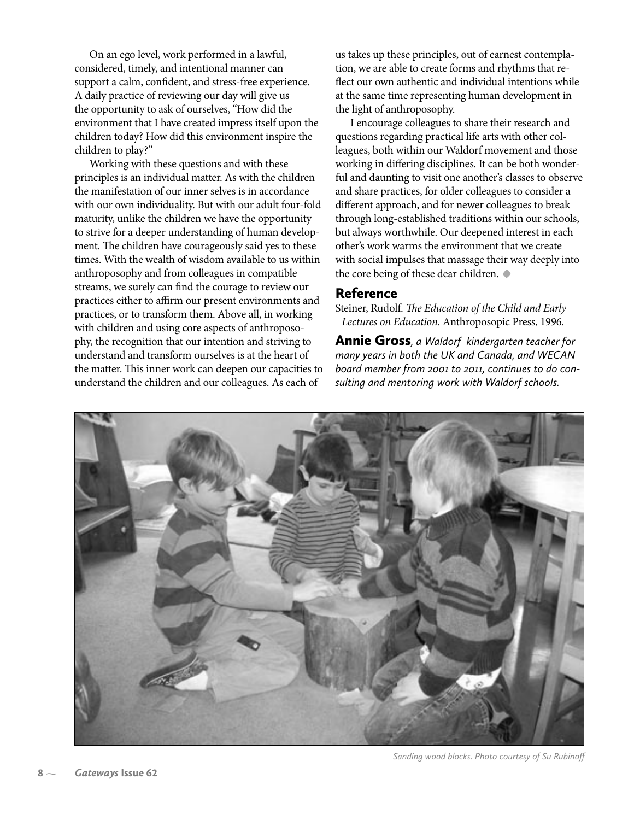On an ego level, work performed in a lawful, considered, timely, and intentional manner can support a calm, confident, and stress-free experience. A daily practice of reviewing our day will give us the opportunity to ask of ourselves, "How did the environment that I have created impress itself upon the children today? How did this environment inspire the children to play?"

Working with these questions and with these principles is an individual matter. As with the children the manifestation of our inner selves is in accordance with our own individuality. But with our adult four-fold maturity, unlike the children we have the opportunity to strive for a deeper understanding of human development. The children have courageously said yes to these times. With the wealth of wisdom available to us within anthroposophy and from colleagues in compatible streams, we surely can find the courage to review our practices either to affirm our present environments and practices, or to transform them. Above all, in working with children and using core aspects of anthroposophy, the recognition that our intention and striving to understand and transform ourselves is at the heart of the matter. This inner work can deepen our capacities to understand the children and our colleagues. As each of

us takes up these principles, out of earnest contemplation, we are able to create forms and rhythms that re flect our own authentic and individual intentions while at the same time representing human development in the light of anthroposophy.

I encourage colleagues to share their research and questions regarding practical life arts with other colleagues, both within our Waldorf movement and those working in differing disciplines. It can be both wonderful and daunting to visit one another's classes to observe and share practices, for older colleagues to consider a different approach, and for newer colleagues to break through long-established traditions within our schools, but always worthwhile. Our deepened interest in each other's work warms the environment that we create with social impulses that massage their way deeply into the core being of these dear children. **•**

#### Reference

Steiner, Rudolf. *The Education of the Child and Early Lectures on Education*. Anthroposopic Press, 1996.

Annie Gross*, a Waldorf kindergarten teacher for many years in both the UK and Canada, and WECAN board member from 2001 to 2011, continues to do consulting and mentoring work with Waldorf schools.*



*Sanding wood blocks. Photo courtesy of Su Rubinoff*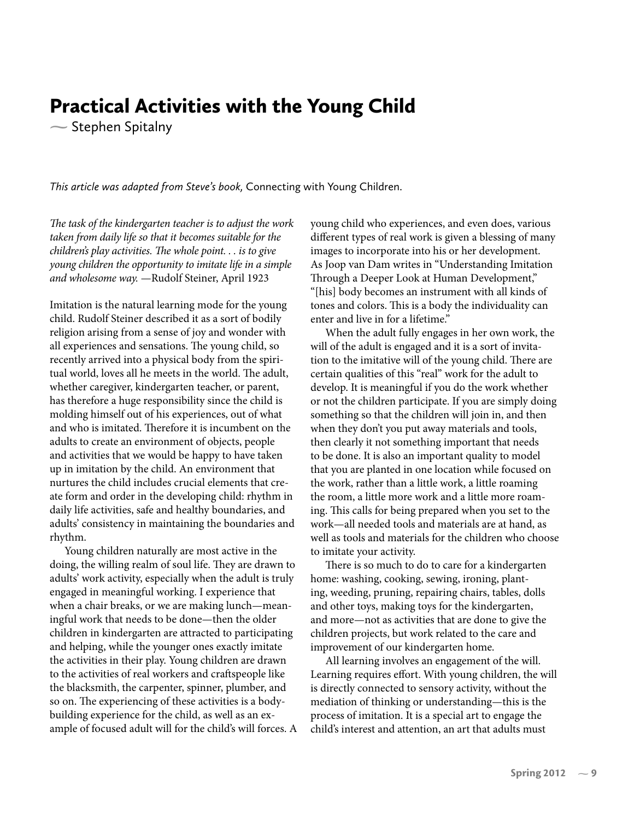# Practical Activities with the Young Child

 $\sim$  Stephen Spitalny

*This article was adapted from Steve's book,* Connecting with Young Children.

*The task of the kindergarten teacher is to adjust the work taken from daily life so that it becomes suitable for the children's play activities. The whole point. . . is to give young children the opportunity to imitate life in a simple and wholesome way.* —Rudolf Steiner, April 1923

Imitation is the natural learning mode for the young child. Rudolf Steiner described it as a sort of bodily religion arising from a sense of joy and wonder with all experiences and sensations. The young child, so recently arrived into a physical body from the spiritual world, loves all he meets in the world. The adult, whether caregiver, kindergarten teacher, or parent, has therefore a huge responsibility since the child is molding himself out of his experiences, out of what and who is imitated. Therefore it is incumbent on the adults to create an environment of objects, people and activities that we would be happy to have taken up in imitation by the child. An environment that nurtures the child includes crucial elements that create form and order in the developing child: rhythm in daily life activities, safe and healthy boundaries, and adults' consistency in maintaining the boundaries and rhythm.

Young children naturally are most active in the doing, the willing realm of soul life. They are drawn to adults' work activity, especially when the adult is truly engaged in meaningful working. I experience that when a chair breaks, or we are making lunch—meaningful work that needs to be done—then the older children in kindergarten are attracted to participating and helping, while the younger ones exactly imitate the activities in their play. Young children are drawn to the activities of real workers and craftspeople like the blacksmith, the carpenter, spinner, plumber, and so on. The experiencing of these activities is a bodybuilding experience for the child, as well as an example of focused adult will for the child's will forces. A young child who experiences, and even does, various different types of real work is given a blessing of many images to incorporate into his or her development. As Joop van Dam writes in "Understanding Imitation Through a Deeper Look at Human Development," "[his] body becomes an instrument with all kinds of tones and colors. This is a body the individuality can enter and live in for a lifetime."

When the adult fully engages in her own work, the will of the adult is engaged and it is a sort of invitation to the imitative will of the young child. There are certain qualities of this "real" work for the adult to develop. It is meaningful if you do the work whether or not the children participate. If you are simply doing something so that the children will join in, and then when they don't you put away materials and tools, then clearly it not something important that needs to be done. It is also an important quality to model that you are planted in one location while focused on the work, rather than a little work, a little roaming the room, a little more work and a little more roaming. This calls for being prepared when you set to the work—all needed tools and materials are at hand, as well as tools and materials for the children who choose to imitate your activity.

There is so much to do to care for a kindergarten home: washing, cooking, sewing, ironing, planting, weeding, pruning, repairing chairs, tables, dolls and other toys, making toys for the kindergarten, and more—not as activities that are done to give the children projects, but work related to the care and improvement of our kindergarten home.

All learning involves an engagement of the will. Learning requires effort. With young children, the will is directly connected to sensory activity, without the mediation of thinking or understanding—this is the process of imitation. It is a special art to engage the child's interest and attention, an art that adults must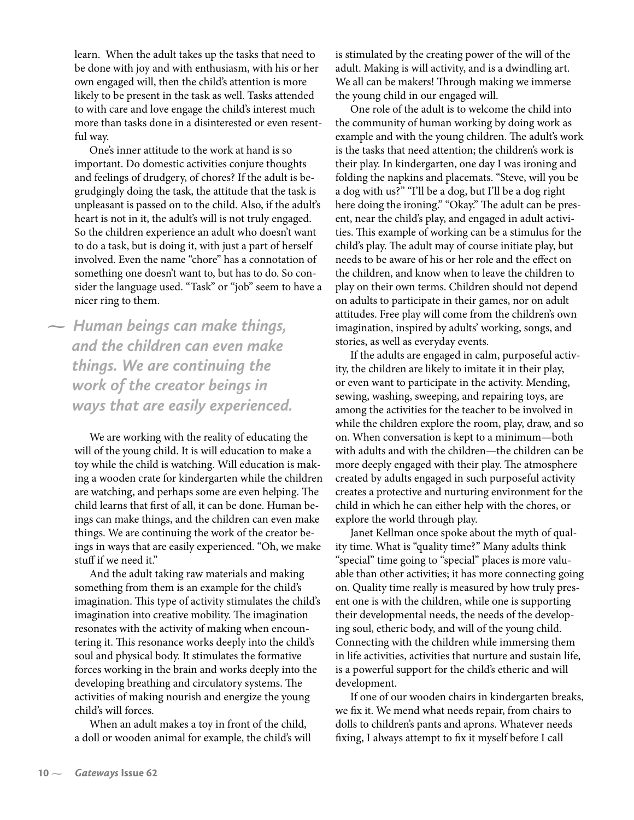learn. When the adult takes up the tasks that need to be done with joy and with enthusiasm, with his or her own engaged will, then the child's attention is more likely to be present in the task as well. Tasks attended to with care and love engage the child's interest much more than tasks done in a disinterested or even resentful way.

One's inner attitude to the work at hand is so important. Do domestic activities conjure thoughts and feelings of drudgery, of chores? If the adult is begrudgingly doing the task, the attitude that the task is unpleasant is passed on to the child. Also, if the adult's heart is not in it, the adult's will is not truly engaged. So the children experience an adult who doesn't want to do a task, but is doing it, with just a part of herself involved. Even the name "chore" has a connotation of something one doesn't want to, but has to do. So consider the language used. "Task" or "job" seem to have a nicer ring to them.

 *Human beings can make things, and the children can even make things. We are continuing the work of the creator beings in ways that are easily experienced.*

> We are working with the reality of educating the will of the young child. It is will education to make a toy while the child is watching. Will education is making a wooden crate for kindergarten while the children are watching, and perhaps some are even helping. The child learns that first of all, it can be done. Human beings can make things, and the children can even make things. We are continuing the work of the creator beings in ways that are easily experienced. "Oh, we make stuff if we need it."

> And the adult taking raw materials and making something from them is an example for the child's imagination. This type of activity stimulates the child's imagination into creative mobility. The imagination resonates with the activity of making when encountering it. This resonance works deeply into the child's soul and physical body. It stimulates the formative forces working in the brain and works deeply into the developing breathing and circulatory systems. The activities of making nourish and energize the young child's will forces.

When an adult makes a toy in front of the child, a doll or wooden animal for example, the child's will is stimulated by the creating power of the will of the adult. Making is will activity, and is a dwindling art. We all can be makers! Through making we immerse the young child in our engaged will.

One role of the adult is to welcome the child into the community of human working by doing work as example and with the young children. The adult's work is the tasks that need attention; the children's work is their play. In kindergarten, one day I was ironing and folding the napkins and placemats. "Steve, will you be a dog with us?" "I'll be a dog, but I'll be a dog right here doing the ironing." "Okay." The adult can be present, near the child's play, and engaged in adult activities. This example of working can be a stimulus for the child's play. The adult may of course initiate play, but needs to be aware of his or her role and the effect on the children, and know when to leave the children to play on their own terms. Children should not depend on adults to participate in their games, nor on adult attitudes. Free play will come from the children's own imagination, inspired by adults' working, songs, and stories, as well as everyday events.

If the adults are engaged in calm, purposeful activity, the children are likely to imitate it in their play, or even want to participate in the activity. Mending, sewing, washing, sweeping, and repairing toys, are among the activities for the teacher to be involved in while the children explore the room, play, draw, and so on. When conversation is kept to a minimum—both with adults and with the children—the children can be more deeply engaged with their play. The atmosphere created by adults engaged in such purposeful activity creates a protective and nurturing environment for the child in which he can either help with the chores, or explore the world through play.

Janet Kellman once spoke about the myth of quality time. What is "quality time?" Many adults think "special" time going to "special" places is more valuable than other activities; it has more connecting going on. Quality time really is measured by how truly present one is with the children, while one is supporting their developmental needs, the needs of the developing soul, etheric body, and will of the young child. Connecting with the children while immersing them in life activities, activities that nurture and sustain life, is a powerful support for the child's etheric and will development.

If one of our wooden chairs in kindergarten breaks, we fix it. We mend what needs repair, from chairs to dolls to children's pants and aprons. Whatever needs fixing, I always attempt to fix it myself before I call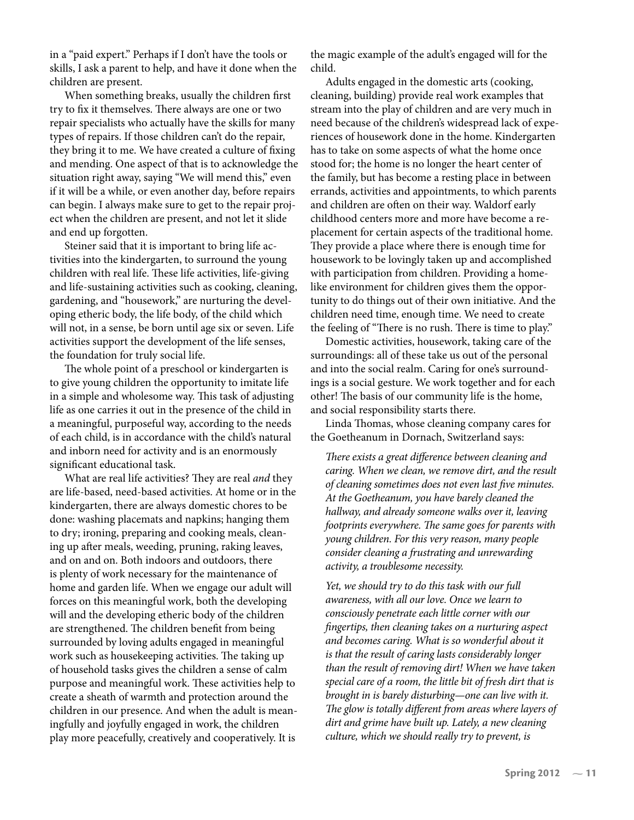in a "paid expert." Perhaps if I don't have the tools or skills, I ask a parent to help, and have it done when the children are present.

When something breaks, usually the children first try to fix it themselves. There always are one or two repair specialists who actually have the skills for many types of repairs. If those children can't do the repair, they bring it to me. We have created a culture of fixing and mending. One aspect of that is to acknowledge the situation right away, saying "We will mend this," even if it will be a while, or even another day, before repairs can begin. I always make sure to get to the repair project when the children are present, and not let it slide and end up forgotten.

Steiner said that it is important to bring life activities into the kindergarten, to surround the young children with real life. These life activities, life-giving and life-sustaining activities such as cooking, cleaning, gardening, and "housework," are nurturing the developing etheric body, the life body, of the child which will not, in a sense, be born until age six or seven. Life activities support the development of the life senses, the foundation for truly social life.

The whole point of a preschool or kindergarten is to give young children the opportunity to imitate life in a simple and wholesome way. This task of adjusting life as one carries it out in the presence of the child in a meaningful, purposeful way, according to the needs of each child, is in accordance with the child's natural and inborn need for activity and is an enormously significant educational task.

What are real life activities? They are real *and* they are life-based, need-based activities. At home or in the kindergarten, there are always domestic chores to be done: washing placemats and napkins; hanging them to dry; ironing, preparing and cooking meals, cleaning up after meals, weeding, pruning, raking leaves, and on and on. Both indoors and outdoors, there is plenty of work necessary for the maintenance of home and garden life. When we engage our adult will forces on this meaningful work, both the developing will and the developing etheric body of the children are strengthened. The children benefit from being surrounded by loving adults engaged in meaningful work such as housekeeping activities. The taking up of household tasks gives the children a sense of calm purpose and meaningful work. These activities help to create a sheath of warmth and protection around the children in our presence. And when the adult is meaningfully and joyfully engaged in work, the children play more peacefully, creatively and cooperatively. It is

the magic example of the adult's engaged will for the child.

Adults engaged in the domestic arts (cooking, cleaning, building) provide real work examples that stream into the play of children and are very much in need because of the children's widespread lack of experiences of housework done in the home. Kindergarten has to take on some aspects of what the home once stood for; the home is no longer the heart center of the family, but has become a resting place in between errands, activities and appointments, to which parents and children are often on their way. Waldorf early childhood centers more and more have become a replacement for certain aspects of the traditional home. They provide a place where there is enough time for housework to be lovingly taken up and accomplished with participation from children. Providing a homelike environment for children gives them the opportunity to do things out of their own initiative. And the children need time, enough time. We need to create the feeling of "There is no rush. There is time to play."

Domestic activities, housework, taking care of the surroundings: all of these take us out of the personal and into the social realm. Caring for one's surroundings is a social gesture. We work together and for each other! The basis of our community life is the home, and social responsibility starts there.

Linda Thomas, whose cleaning company cares for the Goetheanum in Dornach, Switzerland says:

*There exists a great difference between cleaning and caring. When we clean, we remove dirt, and the result of cleaning sometimes does not even last �ve minutes. At the Goetheanum, you have barely cleaned the hallway, and already someone walks over it, leaving footprints everywhere. The same goes for parents with young children. For this very reason, many people consider cleaning a frustrating and unrewarding activity, a troublesome necessity.*

*Yet, we should try to do this task with our full awareness, with all our love. Once we learn to consciously penetrate each little corner with our �ngertips, then cleaning takes on a nurturing aspect and becomes caring. What is so wonderful about it is that the result of caring lasts considerably longer than the result of removing dirt! When we have taken special care of a room, the little bit of fresh dirt that is brought in is barely disturbing—one can live with it. The glow is totally different from areas where layers of dirt and grime have built up. Lately, a new cleaning culture, which we should really try to prevent, is*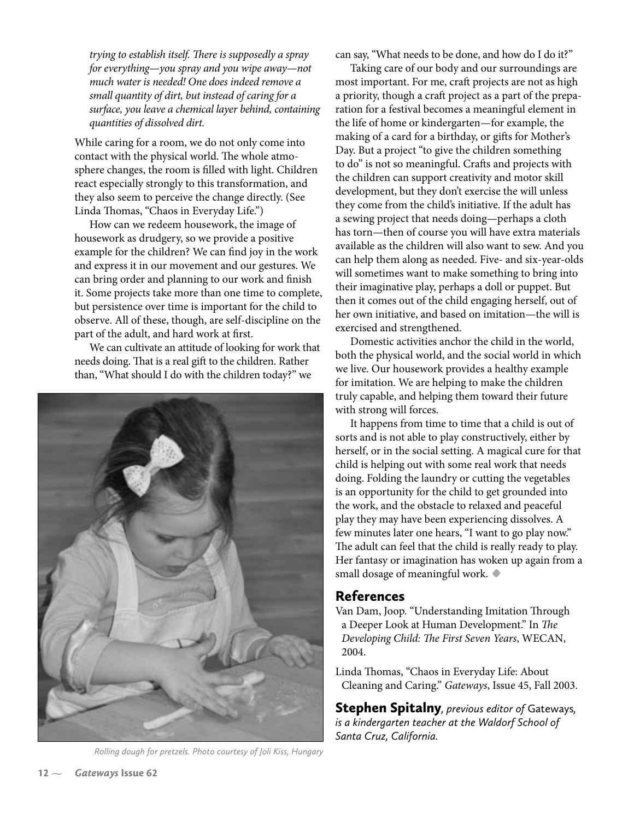*trying to establish itself. There is supposedly a spray for everything—you spray and you wipe away—not much water is needed! One does indeed remove a small quantity of dirt, but instead of caring for a surface, you leave a chemical layer behind, containing quantities of dissolved dirt.*

While caring for a room, we do not only come into contact with the physical world. The whole atmosphere changes, the room is filled with light. Children react especially strongly to this transformation, and they also seem to perceive the change directly. (See Linda Thomas, "Chaos in Everyday Life.")

How can we redeem housework, the image of housework as drudgery, so we provide a positive example for the children? We can find joy in the work and express it in our movement and our gestures. We can bring order and planning to our work and finish it. Some projects take more than one time to complete, but persistence over time is important for the child to observe. All of these, though, are self-discipline on the part of the adult, and hard work at first.

We can cultivate an attitude of looking for work that needs doing. That is a real gift to the children. Rather than, "What should I do with the children today?" we



*Rolling dough for pretzels. Photo courtesy of Joli Kiss, Hungary*

can say, "What needs to be done, and how do I do it?"

Taking care of our body and our surroundings are most important. For me, craft projects are not as high a priority, though a craft project as a part of the preparation for a festival becomes a meaningful element in the life of home or kindergarten—for example, the making of a card for a birthday, or gifts for Mother's Day. But a project "to give the children something to do" is not so meaningful. Crafts and projects with the children can support creativity and motor skill development, but they don't exercise the will unless they come from the child's initiative. If the adult has a sewing project that needs doing—perhaps a cloth has torn—then of course you will have extra materials available as the children will also want to sew. And you can help them along as needed. Five- and six-year-olds will sometimes want to make something to bring into their imaginative play, perhaps a doll or puppet. But then it comes out of the child engaging herself, out of her own initiative, and based on imitation—the will is exercised and strengthened.

Domestic activities anchor the child in the world, both the physical world, and the social world in which we live. Our housework provides a healthy example for imitation. We are helping to make the children truly capable, and helping them toward their future with strong will forces.

It happens from time to time that a child is out of sorts and is not able to play constructively, either by herself, or in the social setting. A magical cure for that child is helping out with some real work that needs doing. Folding the laundry or cutting the vegetables is an opportunity for the child to get grounded into the work, and the obstacle to relaxed and peaceful play they may have been experiencing dissolves. A few minutes later one hears, "I want to go play now." The adult can feel that the child is really ready to play. Her fantasy or imagination has woken up again from a small dosage of meaningful work. **•**

### References

Van Dam, Joop. "Understanding Imitation Through a Deeper Look at Human Development." In *The Developing Child: The First Seven Years*, WECAN, 2004.

Linda Thomas, "Chaos in Everyday Life: About Cleaning and Caring." *Gateways*, Issue 45, Fall 2003.

Stephen Spitalny*, previous editor of* Gateways*, is a kindergarten teacher at the Waldorf School of Santa Cruz, California.*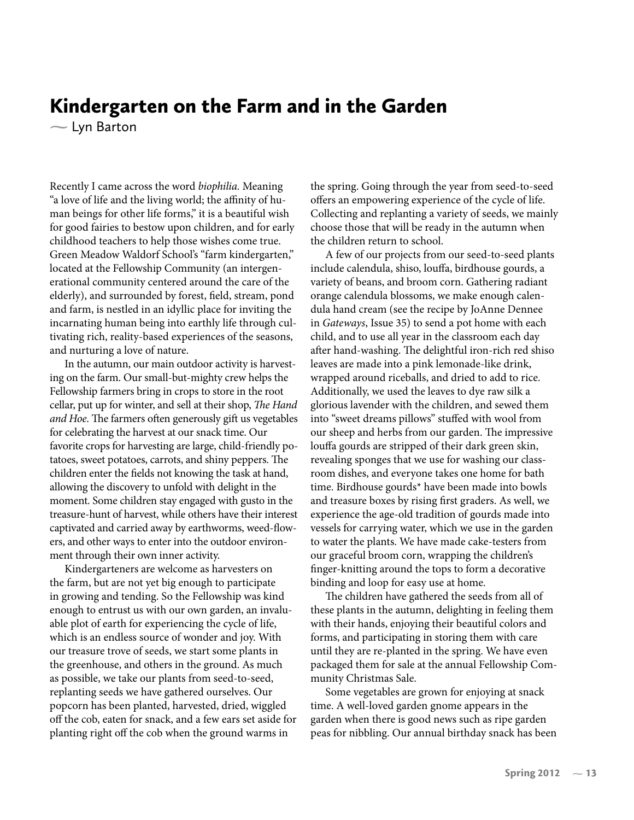# Kindergarten on the Farm and in the Garden

– Lyn Barton

Recently I came across the word *biophilia.* Meaning "a love of life and the living world; the affinity of human beings for other life forms," it is a beautiful wish for good fairies to bestow upon children, and for early childhood teachers to help those wishes come true. Green Meadow Waldorf School's "farm kindergarten," located at the Fellowship Community (an intergenerational community centered around the care of the elderly), and surrounded by forest, �eld, stream, pond and farm, is nestled in an idyllic place for inviting the incarnating human being into earthly life through cultivating rich, reality-based experiences of the seasons, and nurturing a love of nature.

In the autumn, our main outdoor activity is harvesting on the farm. Our small-but-mighty crew helps the Fellowship farmers bring in crops to store in the root cellar, put up for winter, and sell at their shop, *The Hand and Hoe*. The farmers often generously gift us vegetables for celebrating the harvest at our snack time. Our favorite crops for harvesting are large, child-friendly potatoes, sweet potatoes, carrots, and shiny peppers. The children enter the fields not knowing the task at hand, allowing the discovery to unfold with delight in the moment. Some children stay engaged with gusto in the treasure-hunt of harvest, while others have their interest captivated and carried away by earthworms, weed-flowers, and other ways to enter into the outdoor environment through their own inner activity.

Kindergarteners are welcome as harvesters on the farm, but are not yet big enough to participate in growing and tending. So the Fellowship was kind enough to entrust us with our own garden, an invaluable plot of earth for experiencing the cycle of life, which is an endless source of wonder and joy. With our treasure trove of seeds, we start some plants in the greenhouse, and others in the ground. As much as possible, we take our plants from seed-to-seed, replanting seeds we have gathered ourselves. Our popcorn has been planted, harvested, dried, wiggled off the cob, eaten for snack, and a few ears set aside for planting right off the cob when the ground warms in

the spring. Going through the year from seed-to-seed offers an empowering experience of the cycle of life. Collecting and replanting a variety of seeds, we mainly choose those that will be ready in the autumn when the children return to school.

A few of our projects from our seed-to-seed plants include calendula, shiso, louffa, birdhouse gourds, a variety of beans, and broom corn. Gathering radiant orange calendula blossoms, we make enough calendula hand cream (see the recipe by JoAnne Dennee in *Gateways*, Issue 35) to send a pot home with each child, and to use all year in the classroom each day after hand-washing. The delightful iron-rich red shiso leaves are made into a pink lemonade-like drink, wrapped around riceballs, and dried to add to rice. Additionally, we used the leaves to dye raw silk a glorious lavender with the children, and sewed them into "sweet dreams pillows" stuffed with wool from our sheep and herbs from our garden. The impressive louffa gourds are stripped of their dark green skin, revealing sponges that we use for washing our classroom dishes, and everyone takes one home for bath time. Birdhouse gourds\* have been made into bowls and treasure boxes by rising first graders. As well, we experience the age-old tradition of gourds made into vessels for carrying water, which we use in the garden to water the plants. We have made cake-testers from our graceful broom corn, wrapping the children's finger-knitting around the tops to form a decorative binding and loop for easy use at home.

The children have gathered the seeds from all of these plants in the autumn, delighting in feeling them with their hands, enjoying their beautiful colors and forms, and participating in storing them with care until they are re-planted in the spring. We have even packaged them for sale at the annual Fellowship Community Christmas Sale.

Some vegetables are grown for enjoying at snack time. A well-loved garden gnome appears in the garden when there is good news such as ripe garden peas for nibbling. Our annual birthday snack has been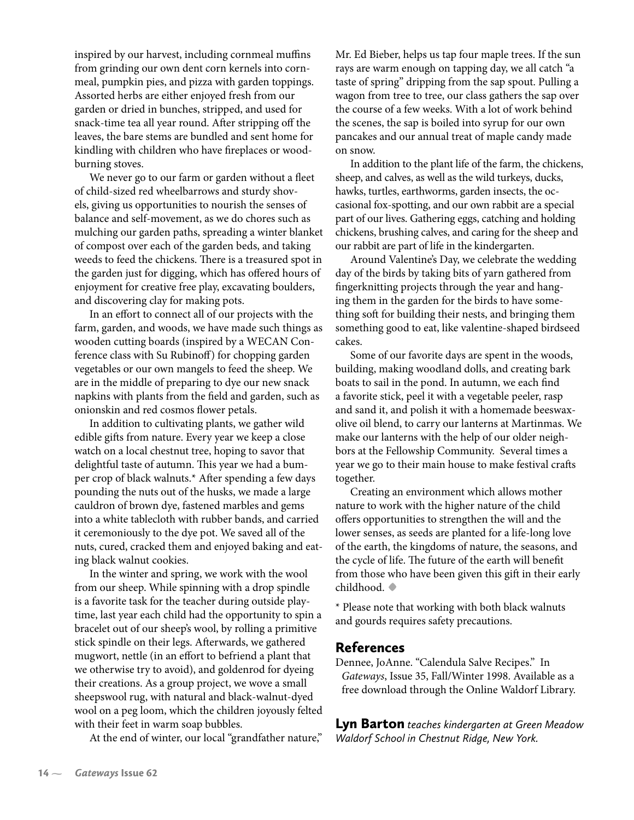inspired by our harvest, including cornmeal muffins from grinding our own dent corn kernels into cornmeal, pumpkin pies, and pizza with garden toppings. Assorted herbs are either enjoyed fresh from our garden or dried in bunches, stripped, and used for snack-time tea all year round. After stripping off the leaves, the bare stems are bundled and sent home for kindling with children who have fireplaces or woodburning stoves.

We never go to our farm or garden without a fleet of child-sized red wheelbarrows and sturdy shovels, giving us opportunities to nourish the senses of balance and self-movement, as we do chores such as mulching our garden paths, spreading a winter blanket of compost over each of the garden beds, and taking weeds to feed the chickens. There is a treasured spot in the garden just for digging, which has offered hours of enjoyment for creative free play, excavating boulders, and discovering clay for making pots.

In an effort to connect all of our projects with the farm, garden, and woods, we have made such things as wooden cutting boards (inspired by a WECAN Conference class with Su Rubinoff) for chopping garden vegetables or our own mangels to feed the sheep. We are in the middle of preparing to dye our new snack napkins with plants from the field and garden, such as onionskin and red cosmos flower petals.

In addition to cultivating plants, we gather wild edible gifts from nature. Every year we keep a close watch on a local chestnut tree, hoping to savor that delightful taste of autumn. This year we had a bumper crop of black walnuts.\* After spending a few days pounding the nuts out of the husks, we made a large cauldron of brown dye, fastened marbles and gems into a white tablecloth with rubber bands, and carried it ceremoniously to the dye pot. We saved all of the nuts, cured, cracked them and enjoyed baking and eating black walnut cookies.

In the winter and spring, we work with the wool from our sheep. While spinning with a drop spindle is a favorite task for the teacher during outside playtime, last year each child had the opportunity to spin a bracelet out of our sheep's wool, by rolling a primitive stick spindle on their legs. Afterwards, we gathered mugwort, nettle (in an effort to befriend a plant that we otherwise try to avoid), and goldenrod for dyeing their creations. As a group project, we wove a small sheepswool rug, with natural and black-walnut-dyed wool on a peg loom, which the children joyously felted with their feet in warm soap bubbles.

At the end of winter, our local "grandfather nature,"

Mr. Ed Bieber, helps us tap four maple trees. If the sun rays are warm enough on tapping day, we all catch "a taste of spring" dripping from the sap spout. Pulling a wagon from tree to tree, our class gathers the sap over the course of a few weeks. With a lot of work behind the scenes, the sap is boiled into syrup for our own pancakes and our annual treat of maple candy made on snow.

In addition to the plant life of the farm, the chickens, sheep, and calves, as well as the wild turkeys, ducks, hawks, turtles, earthworms, garden insects, the occasional fox-spotting, and our own rabbit are a special part of our lives. Gathering eggs, catching and holding chickens, brushing calves, and caring for the sheep and our rabbit are part of life in the kindergarten.

Around Valentine's Day, we celebrate the wedding day of the birds by taking bits of yarn gathered from fingerknitting projects through the year and hanging them in the garden for the birds to have something soft for building their nests, and bringing them something good to eat, like valentine-shaped birdseed cakes.

Some of our favorite days are spent in the woods, building, making woodland dolls, and creating bark boats to sail in the pond. In autumn, we each find a favorite stick, peel it with a vegetable peeler, rasp and sand it, and polish it with a homemade beeswaxolive oil blend, to carry our lanterns at Martinmas. We make our lanterns with the help of our older neighbors at the Fellowship Community. Several times a year we go to their main house to make festival crafts together.

Creating an environment which allows mother nature to work with the higher nature of the child offers opportunities to strengthen the will and the lower senses, as seeds are planted for a life-long love of the earth, the kingdoms of nature, the seasons, and the cycle of life. The future of the earth will benefit from those who have been given this gift in their early childhood. **•**

\* Please note that working with both black walnuts and gourds requires safety precautions.

### References

Dennee, JoAnne. "Calendula Salve Recipes." In *Gateways*, Issue 35, Fall/Winter 1998. Available as a free download through the Online Waldorf Library.

Lyn Barton *teaches kindergarten at Green Meadow Waldorf School in Chestnut Ridge, New York.*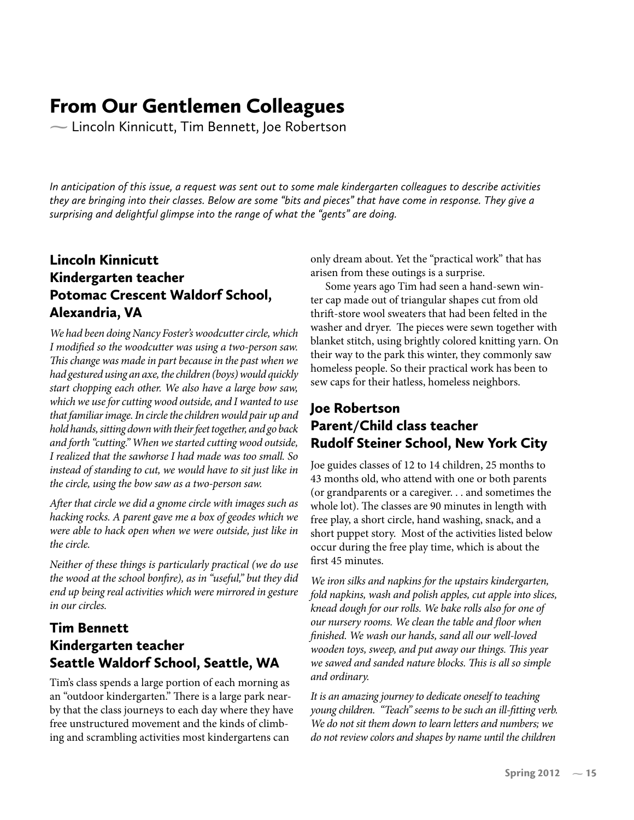# From Our Gentlemen Colleagues

 $\sim$  Lincoln Kinnicutt, Tim Bennett, Joe Robertson

*In anticipation of this issue, a request was sent out to some male kindergarten colleagues to describe activities they are bringing into their classes. Below are some "bits and pieces" that have come in response. They give a surprising and delightful glimpse into the range of what the "gents" are doing.*

# Lincoln Kinnicutt Kindergarten teacher Potomac Crescent Waldorf School, Alexandria, VA

*We had been doing Nancy Foster's woodcutter circle, which*  I modified so the woodcutter was using a two-person saw. *This change was made in part because in the past when we had gestured using an axe, the children (boys) would quickly start chopping each other. We also have a large bow saw, which we use for cutting wood outside, and I wanted to use that familiar image. In circle the children would pair up and hold hands, sitting down with their feet together, and go back and forth "cutting." When we started cutting wood outside, I realized that the sawhorse I had made was too small. So instead of standing to cut, we would have to sit just like in the circle, using the bow saw as a two-person saw.*

*After that circle we did a gnome circle with images such as hacking rocks. A parent gave me a box of geodes which we were able to hack open when we were outside, just like in the circle.*

*Neither of these things is particularly practical (we do use the wood at the school bon�re), as in "useful," but they did end up being real activities which were mirrored in gesture in our circles.*

# Tim Bennett Kindergarten teacher Seattle Waldorf School, Seattle, WA

Tim's class spends a large portion of each morning as an "outdoor kindergarten." There is a large park nearby that the class journeys to each day where they have free unstructured movement and the kinds of climbing and scrambling activities most kindergartens can

only dream about. Yet the "practical work" that has arisen from these outings is a surprise.

Some years ago Tim had seen a hand-sewn winter cap made out of triangular shapes cut from old thrift-store wool sweaters that had been felted in the washer and dryer. The pieces were sewn together with blanket stitch, using brightly colored knitting yarn. On their way to the park this winter, they commonly saw homeless people. So their practical work has been to sew caps for their hatless, homeless neighbors.

### Joe Robertson Parent/Child class teacher Rudolf Steiner School, New York City

Joe guides classes of 12 to 14 children, 25 months to 43 months old, who attend with one or both parents (or grandparents or a caregiver. . . and sometimes the whole lot). The classes are 90 minutes in length with free play, a short circle, hand washing, snack, and a short puppet story. Most of the activities listed below occur during the free play time, which is about the first 45 minutes.

*We iron silks and napkins for the upstairs kindergarten, fold napkins, wash and polish apples, cut apple into slices, knead dough for our rolls. We bake rolls also for one of*  our nursery rooms. We clean the table and floor when *�nished. We wash our hands, sand all our well-loved wooden toys, sweep, and put away our things. This year we sawed and sanded nature blocks. This is all so simple and ordinary.* 

*It is an amazing journey to dedicate oneself to teaching young children. "Teach" seems to be such an ill-�tting verb. We do not sit them down to learn letters and numbers; we do not review colors and shapes by name until the children*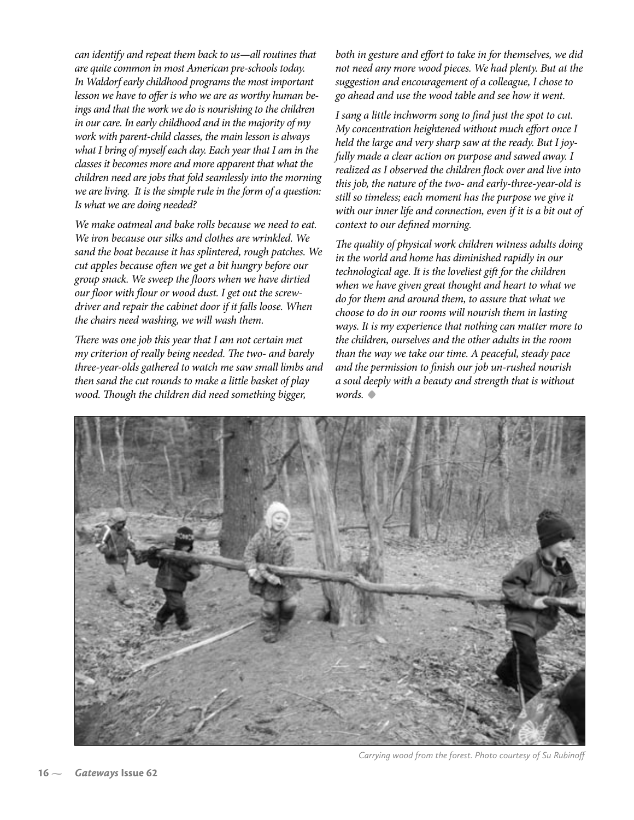*can identify and repeat them back to us—all routines that are quite common in most American pre-schools today. In Waldorf early childhood programs the most important lesson we have to offer is who we are as worthy human beings and that the work we do is nourishing to the children in our care. In early childhood and in the majority of my work with parent-child classes, the main lesson is always what I bring of myself each day. Each year that I am in the classes it becomes more and more apparent that what the children need are jobs that fold seamlessly into the morning we are living. It is the simple rule in the form of a question: Is what we are doing needed?*

*We make oatmeal and bake rolls because we need to eat. We iron because our silks and clothes are wrinkled. We sand the boat because it has splintered, rough patches. We cut apples because often we get a bit hungry before our group snack. We sweep the �oors when we have dirtied*  our floor with flour or wood dust. I get out the screw*driver and repair the cabinet door if it falls loose. When the chairs need washing, we will wash them.*

*There was one job this year that I am not certain met my criterion of really being needed. The two- and barely three-year-olds gathered to watch me saw small limbs and then sand the cut rounds to make a little basket of play wood. Though the children did need something bigger,* 

*both in gesture and effort to take in for themselves, we did not need any more wood pieces. We had plenty. But at the suggestion and encouragement of a colleague, I chose to go ahead and use the wood table and see how it went.* 

*I sang a little inchworm song to �nd just the spot to cut. My concentration heightened without much effort once I held the large and very sharp saw at the ready. But I joyfully made a clear action on purpose and sawed away. I*  realized as I observed the children flock over and live into *this job, the nature of the two- and early-three-year-old is still so timeless; each moment has the purpose we give it with our inner life and connection, even if it is a bit out of context to our de�ned morning.* 

*The quality of physical work children witness adults doing in the world and home has diminished rapidly in our technological age. It is the loveliest gift for the children when we have given great thought and heart to what we do for them and around them, to assure that what we choose to do in our rooms will nourish them in lasting ways. It is my experience that nothing can matter more to the children, ourselves and the other adults in the room than the way we take our time. A peaceful, steady pace and the permission to �nish our job un-rushed nourish a soul deeply with a beauty and strength that is without words.* **•**



*Carrying wood from the forest. Photo courtesy of Su Rubinoff*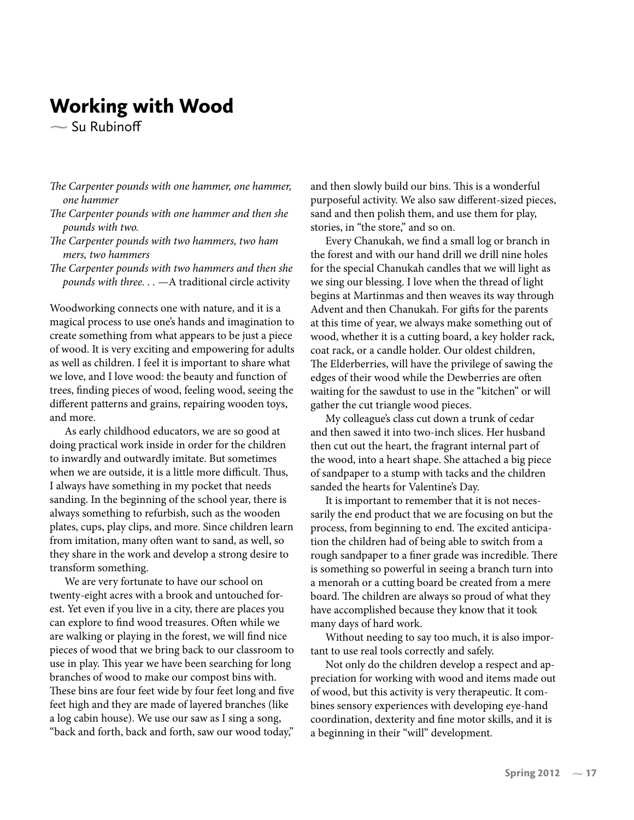# Working with Wood

 $\sim$  Su Rubinoff

- *The Carpenter pounds with one hammer, one hammer, one hammer*
- *The Carpenter pounds with one hammer and then she pounds with two.*
- *The Carpenter pounds with two hammers, two ham mers, two hammers*
- *The Carpenter pounds with two hammers and then she pounds with three. . .* —A traditional circle activity

Woodworking connects one with nature, and it is a magical process to use one's hands and imagination to create something from what appears to be just a piece of wood. It is very exciting and empowering for adults as well as children. I feel it is important to share what we love, and I love wood: the beauty and function of trees, �nding pieces of wood, feeling wood, seeing the different patterns and grains, repairing wooden toys, and more.

As early childhood educators, we are so good at doing practical work inside in order for the children to inwardly and outwardly imitate. But sometimes when we are outside, it is a little more difficult. Thus, I always have something in my pocket that needs sanding. In the beginning of the school year, there is always something to refurbish, such as the wooden plates, cups, play clips, and more. Since children learn from imitation, many often want to sand, as well, so they share in the work and develop a strong desire to transform something.

We are very fortunate to have our school on twenty-eight acres with a brook and untouched forest. Yet even if you live in a city, there are places you can explore to find wood treasures. Often while we are walking or playing in the forest, we will find nice pieces of wood that we bring back to our classroom to use in play. This year we have been searching for long branches of wood to make our compost bins with. These bins are four feet wide by four feet long and five feet high and they are made of layered branches (like a log cabin house). We use our saw as I sing a song, "back and forth, back and forth, saw our wood today,"

and then slowly build our bins. This is a wonderful purposeful activity. We also saw different-sized pieces, sand and then polish them, and use them for play, stories, in "the store," and so on.

Every Chanukah, we �nd a small log or branch in the forest and with our hand drill we drill nine holes for the special Chanukah candles that we will light as we sing our blessing. I love when the thread of light begins at Martinmas and then weaves its way through Advent and then Chanukah. For gifts for the parents at this time of year, we always make something out of wood, whether it is a cutting board, a key holder rack, coat rack, or a candle holder. Our oldest children, The Elderberries, will have the privilege of sawing the edges of their wood while the Dewberries are often waiting for the sawdust to use in the "kitchen" or will gather the cut triangle wood pieces.

My colleague's class cut down a trunk of cedar and then sawed it into two-inch slices. Her husband then cut out the heart, the fragrant internal part of the wood, into a heart shape. She attached a big piece of sandpaper to a stump with tacks and the children sanded the hearts for Valentine's Day.

It is important to remember that it is not necessarily the end product that we are focusing on but the process, from beginning to end. The excited anticipation the children had of being able to switch from a rough sandpaper to a finer grade was incredible. There is something so powerful in seeing a branch turn into a menorah or a cutting board be created from a mere board. The children are always so proud of what they have accomplished because they know that it took many days of hard work.

Without needing to say too much, it is also important to use real tools correctly and safely.

Not only do the children develop a respect and appreciation for working with wood and items made out of wood, but this activity is very therapeutic. It combines sensory experiences with developing eye-hand coordination, dexterity and fine motor skills, and it is a beginning in their "will" development.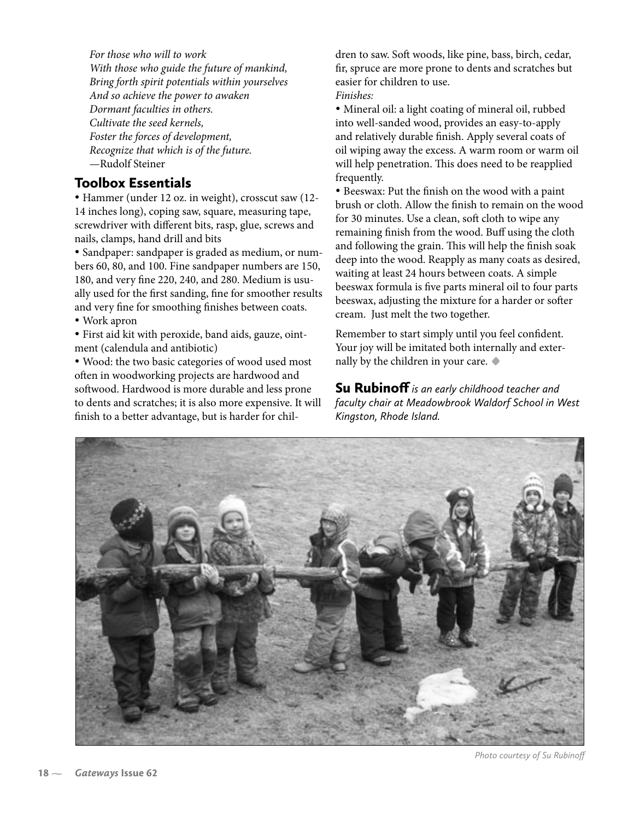*For those who will to work With those who guide the future of mankind, Bring forth spirit potentials within yourselves And so achieve the power to awaken Dormant faculties in others. Cultivate the seed kernels, Foster the forces of development, Recognize that which is of the future.* —Rudolf Steiner

### Toolbox Essentials

• Hammer (under 12 oz. in weight), crosscut saw (12- 14 inches long), coping saw, square, measuring tape, screwdriver with different bits, rasp, glue, screws and nails, clamps, hand drill and bits

• Sandpaper: sandpaper is graded as medium, or numbers 60, 80, and 100. Fine sandpaper numbers are 150, 180, and very �ne 220, 240, and 280. Medium is usually used for the first sanding, fine for smoother results and very fine for smoothing finishes between coats. • Work apron

• First aid kit with peroxide, band aids, gauze, ointment (calendula and antibiotic)

• Wood: the two basic categories of wood used most often in woodworking projects are hardwood and softwood. Hardwood is more durable and less prone to dents and scratches; it is also more expensive. It will finish to a better advantage, but is harder for children to saw. Soft woods, like pine, bass, birch, cedar, fir, spruce are more prone to dents and scratches but easier for children to use. *Finishes:*

• Mineral oil: a light coating of mineral oil, rubbed into well-sanded wood, provides an easy-to-apply and relatively durable finish. Apply several coats of oil wiping away the excess. A warm room or warm oil will help penetration. This does need to be reapplied frequently.

• Beeswax: Put the finish on the wood with a paint brush or cloth. Allow the finish to remain on the wood for 30 minutes. Use a clean, soft cloth to wipe any remaining finish from the wood. Buff using the cloth and following the grain. This will help the finish soak deep into the wood. Reapply as many coats as desired, waiting at least 24 hours between coats. A simple beeswax formula is five parts mineral oil to four parts beeswax, adjusting the mixture for a harder or softer cream. Just melt the two together.

Remember to start simply until you feel confident. Your joy will be imitated both internally and externally by the children in your care. **•**

Su Rubinoff *is an early childhood teacher and faculty chair at Meadowbrook Waldorf School in West Kingston, Rhode Island.*



*Photo courtesy of Su Rubinoff*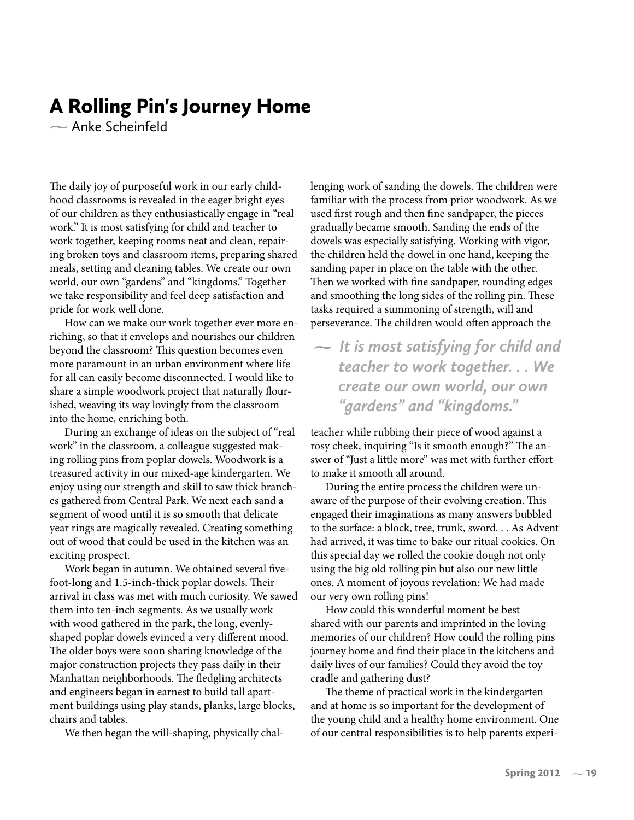# A Rolling Pin's Journey Home

 $\sim$  Anke Scheinfeld

The daily joy of purposeful work in our early childhood classrooms is revealed in the eager bright eyes of our children as they enthusiastically engage in "real work." It is most satisfying for child and teacher to work together, keeping rooms neat and clean, repairing broken toys and classroom items, preparing shared meals, setting and cleaning tables. We create our own world, our own "gardens" and "kingdoms." Together we take responsibility and feel deep satisfaction and pride for work well done.

How can we make our work together ever more enriching, so that it envelops and nourishes our children beyond the classroom? This question becomes even more paramount in an urban environment where life for all can easily become disconnected. I would like to share a simple woodwork project that naturally flourished, weaving its way lovingly from the classroom into the home, enriching both.

During an exchange of ideas on the subject of "real work" in the classroom, a colleague suggested making rolling pins from poplar dowels. Woodwork is a treasured activity in our mixed-age kindergarten. We enjoy using our strength and skill to saw thick branches gathered from Central Park. We next each sand a segment of wood until it is so smooth that delicate year rings are magically revealed. Creating something out of wood that could be used in the kitchen was an exciting prospect.

Work began in autumn. We obtained several fivefoot-long and 1.5-inch-thick poplar dowels. Their arrival in class was met with much curiosity. We sawed them into ten-inch segments. As we usually work with wood gathered in the park, the long, evenlyshaped poplar dowels evinced a very different mood. The older boys were soon sharing knowledge of the major construction projects they pass daily in their Manhattan neighborhoods. The fledgling architects and engineers began in earnest to build tall apartment buildings using play stands, planks, large blocks, chairs and tables.

We then began the will-shaping, physically chal-

lenging work of sanding the dowels. The children were familiar with the process from prior woodwork. As we used first rough and then fine sandpaper, the pieces gradually became smooth. Sanding the ends of the dowels was especially satisfying. Working with vigor, the children held the dowel in one hand, keeping the sanding paper in place on the table with the other. Then we worked with fine sandpaper, rounding edges and smoothing the long sides of the rolling pin. These tasks required a summoning of strength, will and perseverance. The children would often approach the

 *It is most satisfying for child and teacher to work together. . . We create our own world, our own "gardens" and "kingdoms."*

teacher while rubbing their piece of wood against a rosy cheek, inquiring "Is it smooth enough?" The answer of "Just a little more" was met with further effort to make it smooth all around.

During the entire process the children were unaware of the purpose of their evolving creation. This engaged their imaginations as many answers bubbled to the surface: a block, tree, trunk, sword. . . As Advent had arrived, it was time to bake our ritual cookies. On this special day we rolled the cookie dough not only using the big old rolling pin but also our new little ones. A moment of joyous revelation: We had made our very own rolling pins!

How could this wonderful moment be best shared with our parents and imprinted in the loving memories of our children? How could the rolling pins journey home and find their place in the kitchens and daily lives of our families? Could they avoid the toy cradle and gathering dust?

The theme of practical work in the kindergarten and at home is so important for the development of the young child and a healthy home environment. One of our central responsibilities is to help parents experi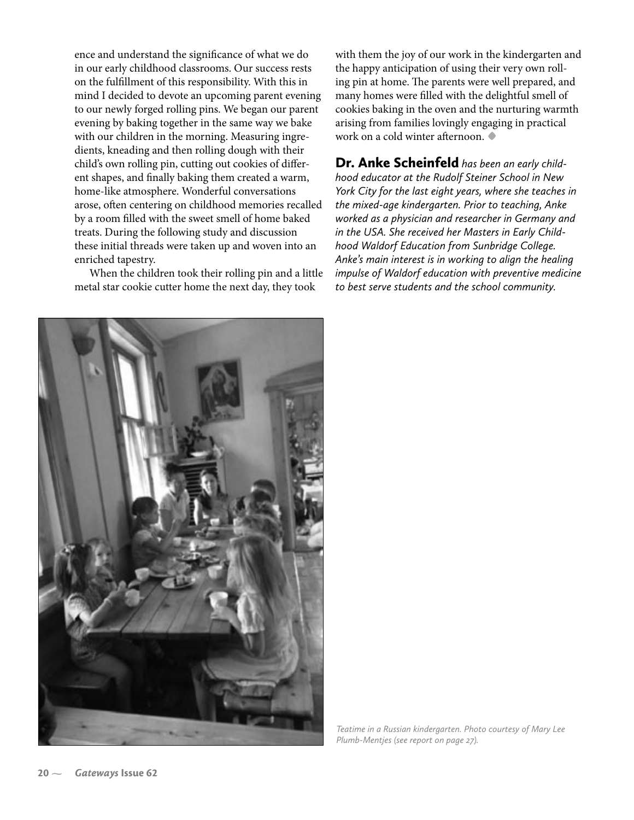ence and understand the signi�cance of what we do in our early childhood classrooms. Our success rests on the ful�llment of this responsibility. With this in mind I decided to devote an upcoming parent evening to our newly forged rolling pins. We began our parent evening by baking together in the same way we bake with our children in the morning. Measuring ingredients, kneading and then rolling dough with their child's own rolling pin, cutting out cookies of different shapes, and finally baking them created a warm, home-like atmosphere. Wonderful conversations arose, often centering on childhood memories recalled by a room filled with the sweet smell of home baked treats. During the following study and discussion these initial threads were taken up and woven into an enriched tapestry.

When the children took their rolling pin and a little metal star cookie cutter home the next day, they took

with them the joy of our work in the kindergarten and the happy anticipation of using their very own rolling pin at home. The parents were well prepared, and many homes were filled with the delightful smell of cookies baking in the oven and the nurturing warmth arising from families lovingly engaging in practical work on a cold winter afternoon. **•**

Dr. Anke Scheinfeld *has been an early childhood educator at the Rudolf Steiner School in New York City for the last eight years, where she teaches in the mixed-age kindergarten. Prior to teaching, Anke worked as a physician and researcher in Germany and in the USA. She received her Masters in Early Childhood Waldorf Education from Sunbridge College. Anke's main interest is in working to align the healing impulse of Waldorf education with preventive medicine to best serve students and the school community.* 



*Teatime in a Russian kindergarten. Photo courtesy of Mary Lee Plumb-Mentjes (see report on page 27).*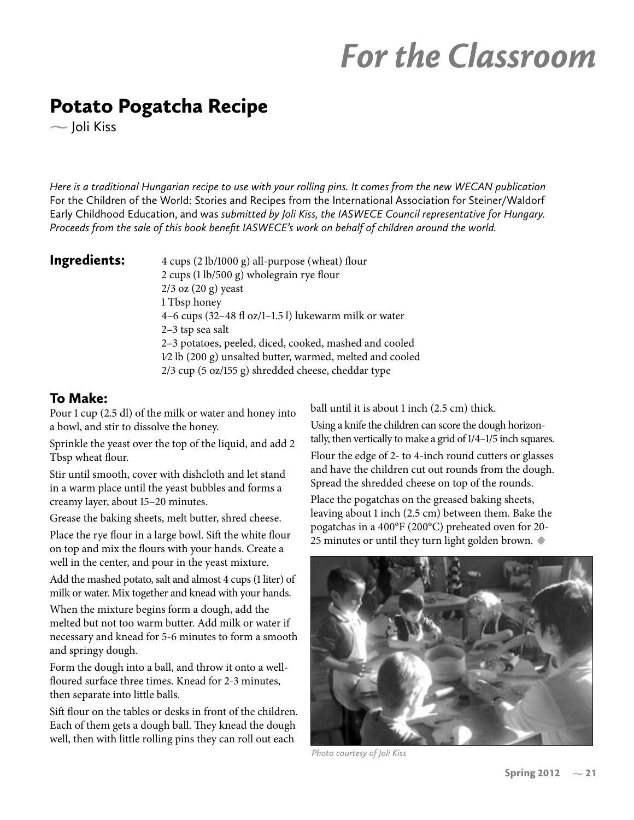# For the Classroom

# Potato Pogatcha Recipe

 $-$  Joli Kiss

*Here is a traditional Hungarian recipe to use with your rolling pins. It comes from the new WECAN publication*  For the Children of the World: Stories and Recipes from the International Association for Steiner/Waldorf Early Childhood Education, and was *submitted by Joli Kiss, the IASWECE Council representative for Hungary. Proceeds from the sale of this book benefit IASWECE's work on behalf of children around the world.*

**Ingredients:**  $4 \text{ cups} (2 \text{ lb}/1000 \text{ g})$  all-purpose (wheat) flour  $2 \text{ cups}$  (1 lb/500 g) wholegrain rye flour 2/3 oz (20 g) yeast 1 Tbsp honey 4–6 cups (32–48  $f$  oz/1–1.5 l) lukewarm milk or water 2–3 tsp sea salt 2–3 potatoes, peeled, diced, cooked, mashed and cooled 1⁄2 lb (200 g) unsalted butter, warmed, melted and cooled 2/3 cup (5 oz/155 g) shredded cheese, cheddar type

### To Make:

Pour 1 cup (2.5 dl) of the milk or water and honey into a bowl, and stir to dissolve the honey.

Sprinkle the yeast over the top of the liquid, and add 2 Tbsp wheat flour.

Stir until smooth, cover with dishcloth and let stand in a warm place until the yeast bubbles and forms a creamy layer, about 15–20 minutes.

Grease the baking sheets, melt butter, shred cheese.

Place the rye flour in a large bowl. Sift the white flour on top and mix the flours with your hands. Create a well in the center, and pour in the yeast mixture.

Add the mashed potato, salt and almost 4 cups (1 liter) of milk or water. Mix together and knead with your hands.

When the mixture begins form a dough, add the melted but not too warm butter. Add milk or water if necessary and knead for 5-6 minutes to form a smooth and springy dough.

Form the dough into a ball, and throw it onto a well floured surface three times. Knead for 2-3 minutes, then separate into little balls.

Sift flour on the tables or desks in front of the children. Each of them gets a dough ball. They knead the dough well, then with little rolling pins they can roll out each

ball until it is about 1 inch (2.5 cm) thick.

Using a knife the children can score the dough horizontally, then vertically to make a grid of 1/4–1/5 inch squares. Flour the edge of 2- to 4-inch round cutters or glasses

and have the children cut out rounds from the dough. Spread the shredded cheese on top of the rounds.

Place the pogatchas on the greased baking sheets, leaving about 1 inch (2.5 cm) between them. Bake the pogatchas in a 400°F (200°C) preheated oven for 20- 25 minutes or until they turn light golden brown. **•**



*Photo courtesy of Joli Kiss*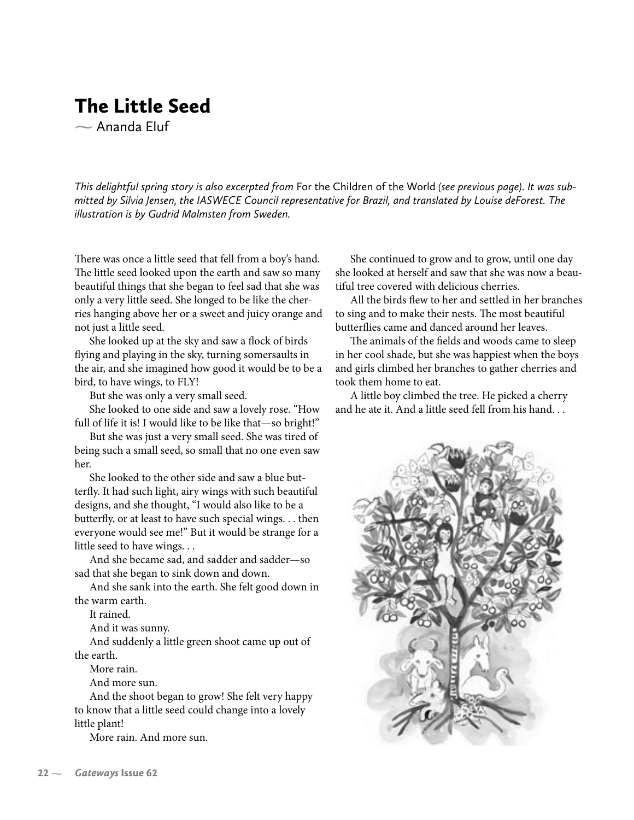# The Little Seed  $\sim$  Ananda Fluf

*This delightful spring story is also excerpted from* For the Children of the World *(see previous page)*. *It was submitted by Silvia Jensen, the IASWECE Council representative for Brazil, and translated by Louise deForest. The illustration is by Gudrid Malmsten from Sweden.*

There was once a little seed that fell from a boy's hand. The little seed looked upon the earth and saw so many beautiful things that she began to feel sad that she was only a very little seed. She longed to be like the cherries hanging above her or a sweet and juicy orange and not just a little seed.

She looked up at the sky and saw a flock of birds flying and playing in the sky, turning somersaults in the air, and she imagined how good it would be to be a bird, to have wings, to FLY!

But she was only a very small seed.

She looked to one side and saw a lovely rose. "How full of life it is! I would like to be like that—so bright!"

But she was just a very small seed. She was tired of being such a small seed, so small that no one even saw her.

She looked to the other side and saw a blue butterfly. It had such light, airy wings with such beautiful designs, and she thought, "I would also like to be a butterfly, or at least to have such special wings. . . then everyone would see me!" But it would be strange for a little seed to have wings. . .

And she became sad, and sadder and sadder—so sad that she began to sink down and down.

And she sank into the earth. She felt good down in the warm earth.

It rained.

And it was sunny.

And suddenly a little green shoot came up out of the earth.

More rain.

And more sun.

And the shoot began to grow! She felt very happy to know that a little seed could change into a lovely little plant!

More rain. And more sun.

She continued to grow and to grow, until one day she looked at herself and saw that she was now a beautiful tree covered with delicious cherries.

All the birds flew to her and settled in her branches to sing and to make their nests. The most beautiful butterflies came and danced around her leaves.

The animals of the fields and woods came to sleep in her cool shade, but she was happiest when the boys and girls climbed her branches to gather cherries and took them home to eat.

A little boy climbed the tree. He picked a cherry and he ate it. And a little seed fell from his hand. . .

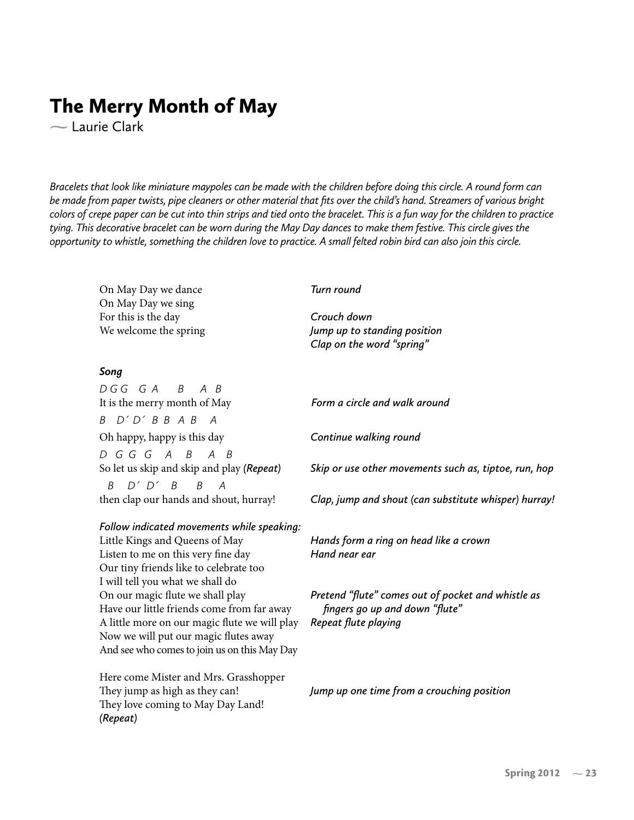# The Merry Month of May

Laurie Clark

*Bracelets that look like miniature maypoles can be made with the children before doing this circle. A round form can be made from paper twists, pipe cleaners or other material that fits over the child's hand. Streamers of various bright colors of crepe paper can be cut into thin strips and tied onto the bracelet. This is a fun way for the children to practice tying. This decorative bracelet can be worn during the May Day dances to make them festive. This circle gives the opportunity to whistle, something the children love to practice. A small felted robin bird can also join this circle.* 

On May Day we dance *Turn round* On May Day we sing For this is the day *Crouch down* We welcome the spring *Jump up to standing position Clap on the word "spring" Song D G G G A B A B* It is the merry month of May *Form a circle and walk around B D´ D´ B B A B A*  Oh happy, happy is this day *Continue walking round D G G G A B A B* So let us skip and skip and play *(Repeat) Skip or use other movements such as, tiptoe, run, hop B D´ D´ B B A* then clap our hands and shout, hurray! *Clap, jump and shout (can substitute whisper) hurray! Follow indicated movements while speaking:* Little Kings and Queens of May *Hands form a ring on head like a crown*

Listen to me on this very fine day *Hand near ear* Our tiny friends like to celebrate too I will tell you what we shall do Have our little friends come from far away *fingers go up and down "flute"*  A little more on our magic flute we will play *Repeat flute playing* Now we will put our magic flutes away And see who comes to join us on this May Day

Here come Mister and Mrs. Grasshopper They love coming to May Day Land! *(Repeat)* 

On our magic �ute we shall play *Pretend "flute" comes out of pocket and whistle as* 

They jump as high as they can! *Jump up one time from a crouching position*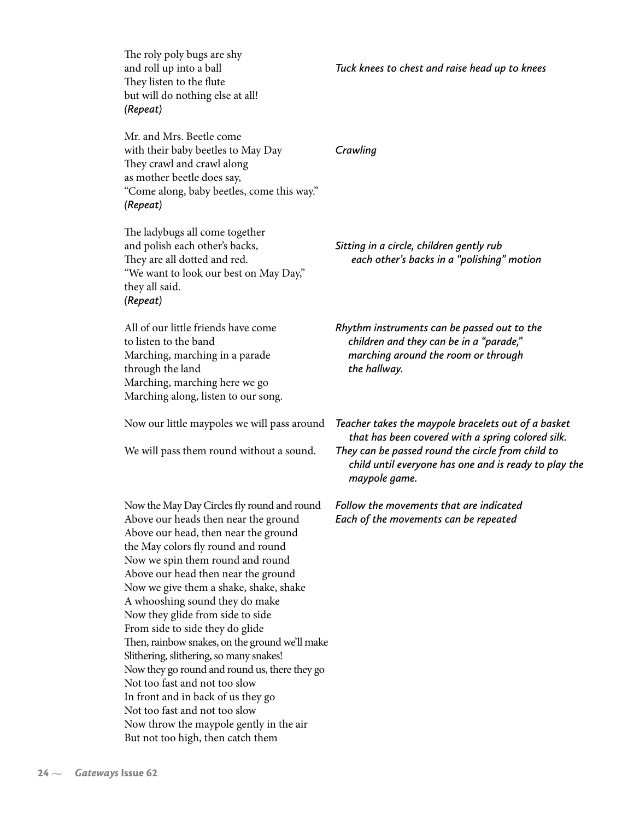The roly poly bugs are shy They listen to the flute but will do nothing else at all! *(Repeat)*

Mr. and Mrs. Beetle come with their baby beetles to May Day *Crawling* They crawl and crawl along as mother beetle does say, "Come along, baby beetles, come this way." *(Repeat)*

The ladybugs all come together and polish each other's backs, *Sitting in a circle, children gently rub*  They are all dotted and red. *each other's backs in a "polishing" motion* "We want to look our best on May Day," they all said. *(Repeat)*

through the land *the hallway.* Marching, marching here we go Marching along, listen to our song.

Now the May Day Circles �y round and round *Follow the movements that are indicated* Above our heads then near the ground *Each of the movements can be repeated* Above our head, then near the ground the May colors fly round and round Now we spin them round and round Above our head then near the ground Now we give them a shake, shake, shake A whooshing sound they do make Now they glide from side to side From side to side they do glide Then, rainbow snakes, on the ground we'll make Slithering, slithering, so many snakes! Now they go round and round us, there they go Not too fast and not too slow In front and in back of us they go Not too fast and not too slow Now throw the maypole gently in the air But not too high, then catch them

All of our little friends have come *Rhythm instruments can be passed out to the*  to listen to the band *children and they can be in a "parade,"*  Marching, marching in a parade *marching around the room or through*

Now our little maypoles we will pass around *Teacher takes the maypole bracelets out of a basket that has been covered with a spring colored silk.*  We will pass them round without a sound. *They can be passed round the circle from child to child until everyone has one and is ready to play the maypole game.*

and roll up into a ball *Tuck knees to chest and raise head up to knees*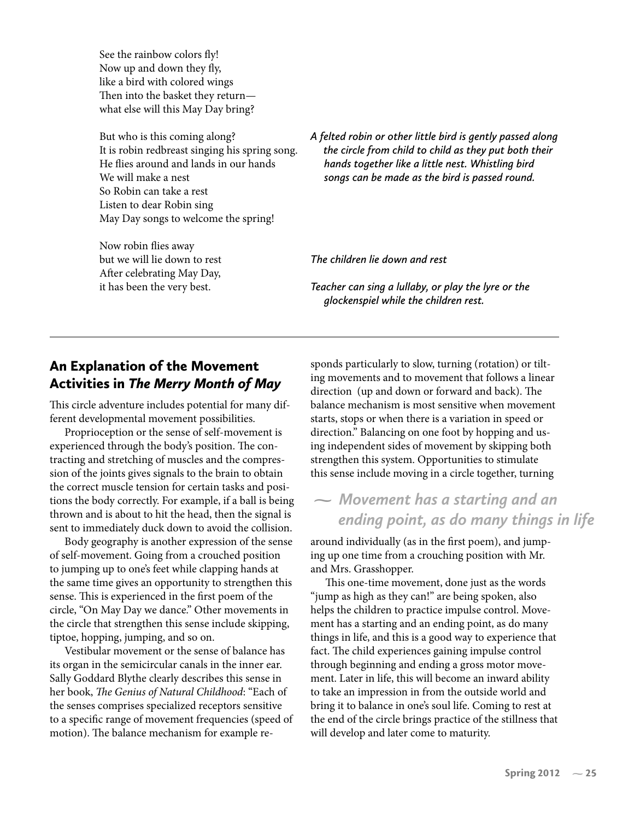See the rainbow colors fly! Now up and down they fly, like a bird with colored wings Then into the basket they return what else will this May Day bring?

So Robin can take a rest Listen to dear Robin sing May Day songs to welcome the spring!

Now robin flies away After celebrating May Day,

But who is this coming along? *A felted robin or other little bird is gently passed along*  It is robin redbreast singing his spring song. *the circle from child to child as they put both their*  He �ies around and lands in our hands *hands together like a little nest. Whistling bird*  We will make a nest *songs can be made as the bird is passed round.*

but we will lie down to rest *The children lie down and rest*

it has been the very best. *Teacher can sing a lullaby, or play the lyre or the glockenspiel while the children rest.*

# An Explanation of the Movement Activities in *The Merry Month of May*

This circle adventure includes potential for many different developmental movement possibilities.

Proprioception or the sense of self-movement is experienced through the body's position. The contracting and stretching of muscles and the compression of the joints gives signals to the brain to obtain the correct muscle tension for certain tasks and positions the body correctly. For example, if a ball is being thrown and is about to hit the head, then the signal is sent to immediately duck down to avoid the collision.

Body geography is another expression of the sense of self-movement. Going from a crouched position to jumping up to one's feet while clapping hands at the same time gives an opportunity to strengthen this sense. This is experienced in the first poem of the circle, "On May Day we dance." Other movements in the circle that strengthen this sense include skipping, tiptoe, hopping, jumping, and so on.

Vestibular movement or the sense of balance has its organ in the semicircular canals in the inner ear. Sally Goddard Blythe clearly describes this sense in her book, *The Genius of Natural Childhood*: "Each of the senses comprises specialized receptors sensitive to a specific range of movement frequencies (speed of motion). The balance mechanism for example responds particularly to slow, turning (rotation) or tilting movements and to movement that follows a linear direction (up and down or forward and back). The balance mechanism is most sensitive when movement starts, stops or when there is a variation in speed or direction." Balancing on one foot by hopping and using independent sides of movement by skipping both strengthen this system. Opportunities to stimulate this sense include moving in a circle together, turning

# *Movement has a starting and an ending point, as do many things in life*

around individually (as in the first poem), and jumping up one time from a crouching position with Mr. and Mrs. Grasshopper.

This one-time movement, done just as the words "jump as high as they can!" are being spoken, also helps the children to practice impulse control. Movement has a starting and an ending point, as do many things in life, and this is a good way to experience that fact. The child experiences gaining impulse control through beginning and ending a gross motor movement. Later in life, this will become an inward ability to take an impression in from the outside world and bring it to balance in one's soul life. Coming to rest at the end of the circle brings practice of the stillness that will develop and later come to maturity.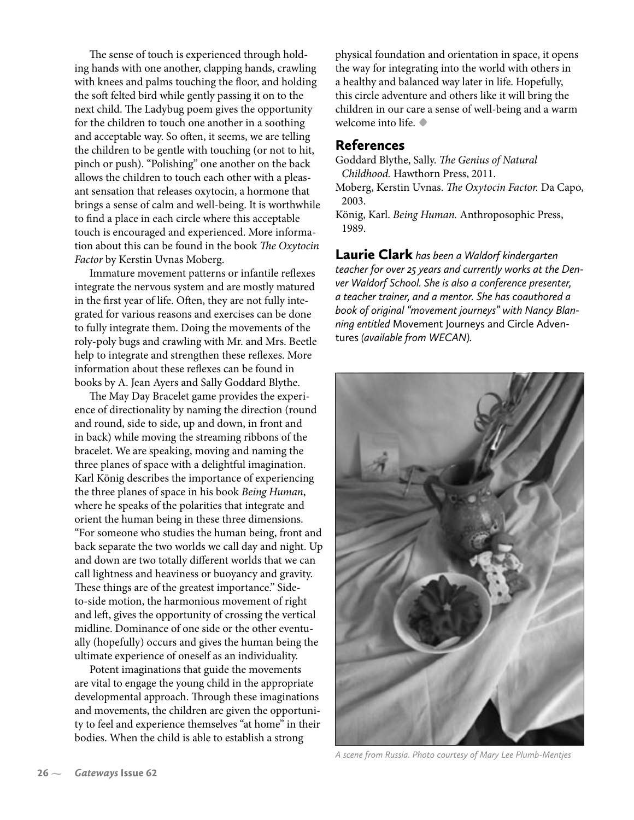The sense of touch is experienced through holding hands with one another, clapping hands, crawling with knees and palms touching the floor, and holding the soft felted bird while gently passing it on to the next child. The Ladybug poem gives the opportunity for the children to touch one another in a soothing and acceptable way. So often, it seems, we are telling the children to be gentle with touching (or not to hit, pinch or push). "Polishing" one another on the back allows the children to touch each other with a pleasant sensation that releases oxytocin, a hormone that brings a sense of calm and well-being. It is worthwhile to find a place in each circle where this acceptable touch is encouraged and experienced. More information about this can be found in the book *The Oxytocin Factor* by Kerstin Uvnas Moberg.

Immature movement patterns or infantile reflexes integrate the nervous system and are mostly matured in the first year of life. Often, they are not fully integrated for various reasons and exercises can be done to fully integrate them. Doing the movements of the roly-poly bugs and crawling with Mr. and Mrs. Beetle help to integrate and strengthen these reflexes. More information about these reflexes can be found in books by A. Jean Ayers and Sally Goddard Blythe.

The May Day Bracelet game provides the experience of directionality by naming the direction (round and round, side to side, up and down, in front and in back) while moving the streaming ribbons of the bracelet. We are speaking, moving and naming the three planes of space with a delightful imagination. Karl König describes the importance of experiencing the three planes of space in his book *Being Human*, where he speaks of the polarities that integrate and orient the human being in these three dimensions. "For someone who studies the human being, front and back separate the two worlds we call day and night. Up and down are two totally different worlds that we can call lightness and heaviness or buoyancy and gravity. These things are of the greatest importance." Sideto-side motion, the harmonious movement of right and left, gives the opportunity of crossing the vertical midline. Dominance of one side or the other eventually (hopefully) occurs and gives the human being the ultimate experience of oneself as an individuality.

Potent imaginations that guide the movements are vital to engage the young child in the appropriate developmental approach. Through these imaginations and movements, the children are given the opportunity to feel and experience themselves "at home" in their bodies. When the child is able to establish a strong

physical foundation and orientation in space, it opens the way for integrating into the world with others in a healthy and balanced way later in life. Hopefully, this circle adventure and others like it will bring the children in our care a sense of well-being and a warm welcome into life. **•**

### References

Goddard Blythe, Sally. *The Genius of Natural Childhood.* Hawthorn Press, 2011.

Moberg, Kerstin Uvnas. *The Oxytocin Factor.* Da Capo, 2003.

Laurie Clark *has been a Waldorf kindergarten teacher for over 25 years and currently works at the Denver Waldorf School. She is also a conference presenter, a teacher trainer, and a mentor. She has coauthored a book of original "movement journeys" with Nancy Blanning entitled* Movement Journeys and Circle Adventures *(available from WECAN).*



*A scene from Russia. Photo courtesy of Mary Lee Plumb-Mentjes*

König, Karl. *Being Human.* Anthroposophic Press, 1989.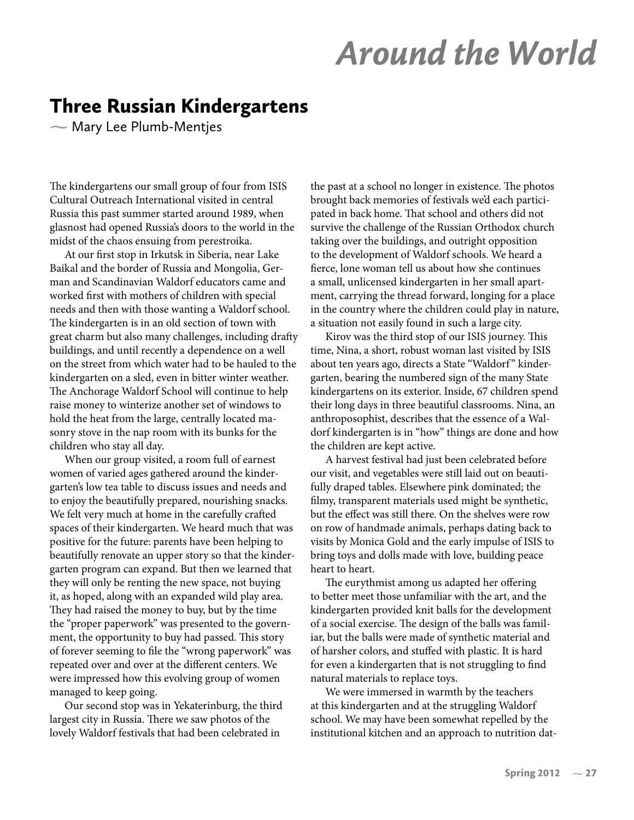# Around the World

# Three Russian Kindergartens

 $\sim$  Mary Lee Plumb-Mentjes

The kindergartens our small group of four from ISIS Cultural Outreach International visited in central Russia this past summer started around 1989, when glasnost had opened Russia's doors to the world in the midst of the chaos ensuing from perestroika.

At our first stop in Irkutsk in Siberia, near Lake Baikal and the border of Russia and Mongolia, German and Scandinavian Waldorf educators came and worked first with mothers of children with special needs and then with those wanting a Waldorf school. The kindergarten is in an old section of town with great charm but also many challenges, including drafty buildings, and until recently a dependence on a well on the street from which water had to be hauled to the kindergarten on a sled, even in bitter winter weather. The Anchorage Waldorf School will continue to help raise money to winterize another set of windows to hold the heat from the large, centrally located masonry stove in the nap room with its bunks for the children who stay all day.

When our group visited, a room full of earnest women of varied ages gathered around the kindergarten's low tea table to discuss issues and needs and to enjoy the beautifully prepared, nourishing snacks. We felt very much at home in the carefully crafted spaces of their kindergarten. We heard much that was positive for the future: parents have been helping to beautifully renovate an upper story so that the kindergarten program can expand. But then we learned that they will only be renting the new space, not buying it, as hoped, along with an expanded wild play area. They had raised the money to buy, but by the time the "proper paperwork" was presented to the government, the opportunity to buy had passed. This story of forever seeming to file the "wrong paperwork" was repeated over and over at the different centers. We were impressed how this evolving group of women managed to keep going.

Our second stop was in Yekaterinburg, the third largest city in Russia. There we saw photos of the lovely Waldorf festivals that had been celebrated in

the past at a school no longer in existence. The photos brought back memories of festivals we'd each participated in back home. That school and others did not survive the challenge of the Russian Orthodox church taking over the buildings, and outright opposition to the development of Waldorf schools. We heard a �erce, lone woman tell us about how she continues a small, unlicensed kindergarten in her small apartment, carrying the thread forward, longing for a place in the country where the children could play in nature, a situation not easily found in such a large city.

Kirov was the third stop of our ISIS journey. This time, Nina, a short, robust woman last visited by ISIS about ten years ago, directs a State "Waldorf" kindergarten, bearing the numbered sign of the many State kindergartens on its exterior. Inside, 67 children spend their long days in three beautiful classrooms. Nina, an anthroposophist, describes that the essence of a Waldorf kindergarten is in "how" things are done and how the children are kept active.

A harvest festival had just been celebrated before our visit, and vegetables were still laid out on beautifully draped tables. Elsewhere pink dominated; the filmy, transparent materials used might be synthetic, but the effect was still there. On the shelves were row on row of handmade animals, perhaps dating back to visits by Monica Gold and the early impulse of ISIS to bring toys and dolls made with love, building peace heart to heart.

The eurythmist among us adapted her offering to better meet those unfamiliar with the art, and the kindergarten provided knit balls for the development of a social exercise. The design of the balls was familiar, but the balls were made of synthetic material and of harsher colors, and stuffed with plastic. It is hard for even a kindergarten that is not struggling to find natural materials to replace toys.

We were immersed in warmth by the teachers at this kindergarten and at the struggling Waldorf school. We may have been somewhat repelled by the institutional kitchen and an approach to nutrition dat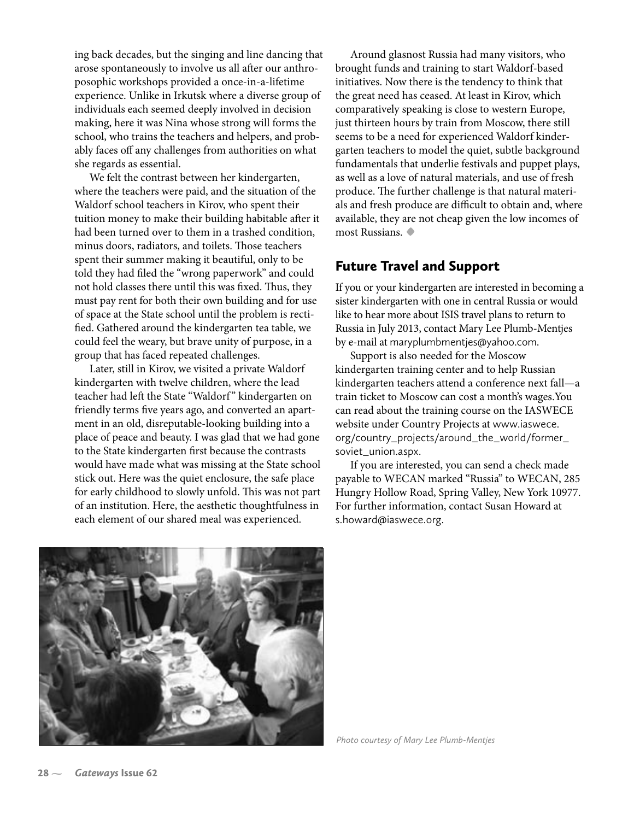ing back decades, but the singing and line dancing that arose spontaneously to involve us all after our anthroposophic workshops provided a once-in-a-lifetime experience. Unlike in Irkutsk where a diverse group of individuals each seemed deeply involved in decision making, here it was Nina whose strong will forms the school, who trains the teachers and helpers, and probably faces off any challenges from authorities on what she regards as essential.

We felt the contrast between her kindergarten, where the teachers were paid, and the situation of the Waldorf school teachers in Kirov, who spent their tuition money to make their building habitable after it had been turned over to them in a trashed condition, minus doors, radiators, and toilets. Those teachers spent their summer making it beautiful, only to be told they had filed the "wrong paperwork" and could not hold classes there until this was fixed. Thus, they must pay rent for both their own building and for use of space at the State school until the problem is recti fied. Gathered around the kindergarten tea table, we could feel the weary, but brave unity of purpose, in a group that has faced repeated challenges.

Later, still in Kirov, we visited a private Waldorf kindergarten with twelve children, where the lead teacher had left the State "Waldorf " kindergarten on friendly terms five years ago, and converted an apartment in an old, disreputable-looking building into a place of peace and beauty. I was glad that we had gone to the State kindergarten �rst because the contrasts would have made what was missing at the State school stick out. Here was the quiet enclosure, the safe place for early childhood to slowly unfold. This was not part of an institution. Here, the aesthetic thoughtfulness in each element of our shared meal was experienced.

Around glasnost Russia had many visitors, who brought funds and training to start Waldorf-based initiatives. Now there is the tendency to think that the great need has ceased. At least in Kirov, which comparatively speaking is close to western Europe, just thirteen hours by train from Moscow, there still seems to be a need for experienced Waldorf kindergarten teachers to model the quiet, subtle background fundamentals that underlie festivals and puppet plays, as well as a love of natural materials, and use of fresh produce. The further challenge is that natural materials and fresh produce are difficult to obtain and, where available, they are not cheap given the low incomes of most Russians. **•**

### Future Travel and Support

If you or your kindergarten are interested in becoming a sister kindergarten with one in central Russia or would like to hear more about ISIS travel plans to return to Russia in July 2013, contact Mary Lee Plumb-Mentjes by e-mail at maryplumbmentjes@yahoo.com.

Support is also needed for the Moscow kindergarten training center and to help Russian kindergarten teachers attend a conference next fall—a train ticket to Moscow can cost a month's wages.You can read about the training course on the IASWECE website under Country Projects at www.iaswece. org/country\_projects/around\_the\_world/former\_ soviet\_union.aspx.

If you are interested, you can send a check made payable to WECAN marked "Russia" to WECAN, 285 Hungry Hollow Road, Spring Valley, New York 10977. For further information, contact Susan Howard at s.howard@iaswece.org.



*Photo courtesy of Mary Lee Plumb-Mentjes*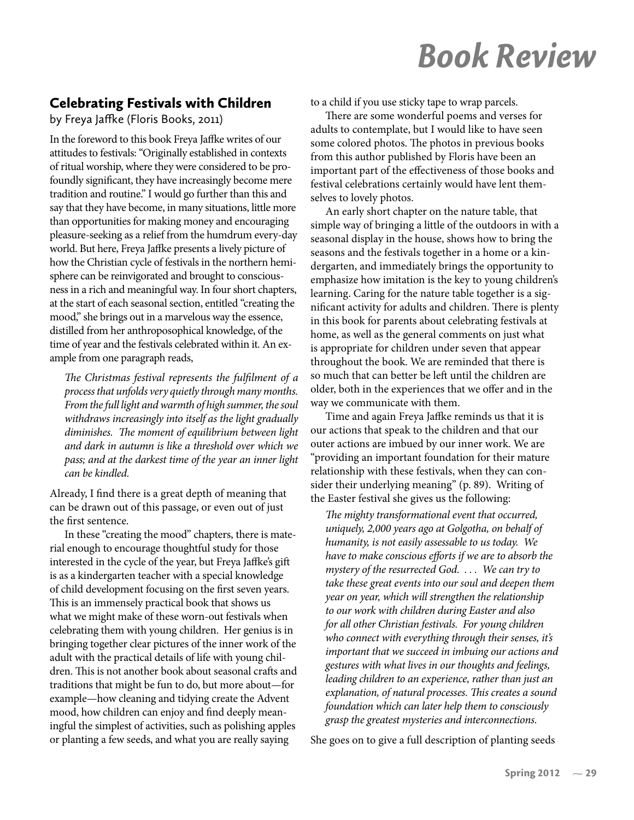# Book Review

### Celebrating Festivals with Children

by Freya Jaffke (Floris Books, 2011)

In the foreword to this book Freya Jaffke writes of our attitudes to festivals: "Originally established in contexts of ritual worship, where they were considered to be profoundly significant, they have increasingly become mere tradition and routine." I would go further than this and say that they have become, in many situations, little more than opportunities for making money and encouraging pleasure-seeking as a relief from the humdrum every-day world. But here, Freya Jaffke presents a lively picture of how the Christian cycle of festivals in the northern hemisphere can be reinvigorated and brought to consciousness in a rich and meaningful way. In four short chapters, at the start of each seasonal section, entitled "creating the mood," she brings out in a marvelous way the essence, distilled from her anthroposophical knowledge, of the time of year and the festivals celebrated within it. An example from one paragraph reads,

*The Christmas festival represents the ful�lment of a process that unfolds very quietly through many months. From the full light and warmth of high summer, the soul withdraws increasingly into itself as the light gradually diminishes. The moment of equilibrium between light and dark in autumn is like a threshold over which we pass; and at the darkest time of the year an inner light can be kindled.* 

Already, I find there is a great depth of meaning that can be drawn out of this passage, or even out of just the first sentence.

In these "creating the mood" chapters, there is material enough to encourage thoughtful study for those interested in the cycle of the year, but Freya Jaffke's gift is as a kindergarten teacher with a special knowledge of child development focusing on the first seven years. This is an immensely practical book that shows us what we might make of these worn-out festivals when celebrating them with young children. Her genius is in bringing together clear pictures of the inner work of the adult with the practical details of life with young children. This is not another book about seasonal crafts and traditions that might be fun to do, but more about—for example—how cleaning and tidying create the Advent mood, how children can enjoy and find deeply meaningful the simplest of activities, such as polishing apples or planting a few seeds, and what you are really saying

to a child if you use sticky tape to wrap parcels.

There are some wonderful poems and verses for adults to contemplate, but I would like to have seen some colored photos. The photos in previous books from this author published by Floris have been an important part of the effectiveness of those books and festival celebrations certainly would have lent themselves to lovely photos.

An early short chapter on the nature table, that simple way of bringing a little of the outdoors in with a seasonal display in the house, shows how to bring the seasons and the festivals together in a home or a kindergarten, and immediately brings the opportunity to emphasize how imitation is the key to young children's learning. Caring for the nature table together is a significant activity for adults and children. There is plenty in this book for parents about celebrating festivals at home, as well as the general comments on just what is appropriate for children under seven that appear throughout the book. We are reminded that there is so much that can better be left until the children are older, both in the experiences that we offer and in the way we communicate with them.

Time and again Freya Jaffke reminds us that it is our actions that speak to the children and that our outer actions are imbued by our inner work. We are "providing an important foundation for their mature relationship with these festivals, when they can consider their underlying meaning" (p. 89). Writing of the Easter festival she gives us the following:

*The mighty transformational event that occurred, uniquely, 2,000 years ago at Golgotha, on behalf of humanity, is not easily assessable to us today. We have to make conscious efforts if we are to absorb the mystery of the resurrected God. . . . We can try to take these great events into our soul and deepen them year on year, which will strengthen the relationship to our work with children during Easter and also for all other Christian festivals. For young children who connect with everything through their senses, it's important that we succeed in imbuing our actions and gestures with what lives in our thoughts and feelings, leading children to an experience, rather than just an explanation, of natural processes. This creates a sound foundation which can later help them to consciously grasp the greatest mysteries and interconnections.*

She goes on to give a full description of planting seeds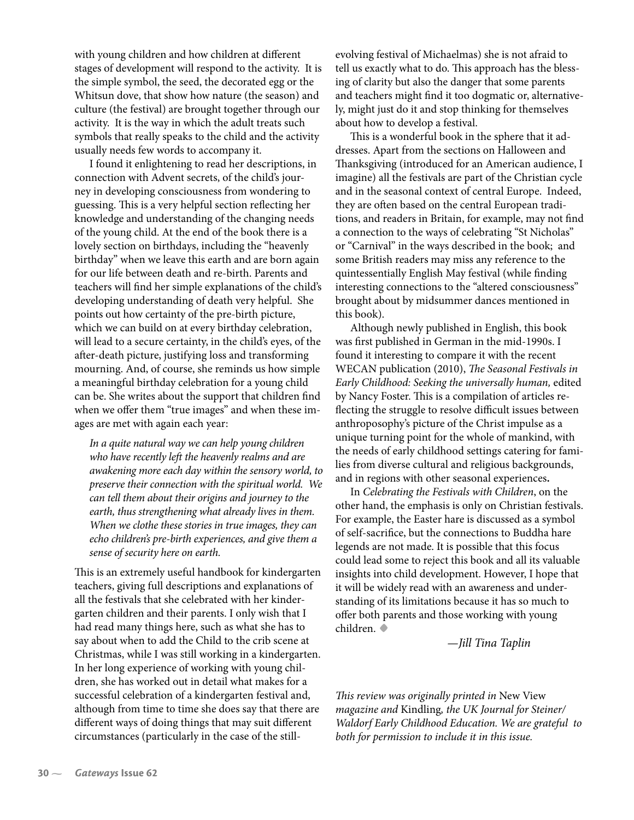with young children and how children at different stages of development will respond to the activity. It is the simple symbol, the seed, the decorated egg or the Whitsun dove, that show how nature (the season) and culture (the festival) are brought together through our activity. It is the way in which the adult treats such symbols that really speaks to the child and the activity usually needs few words to accompany it.

I found it enlightening to read her descriptions, in connection with Advent secrets, of the child's journey in developing consciousness from wondering to guessing. This is a very helpful section reflecting her knowledge and understanding of the changing needs of the young child. At the end of the book there is a lovely section on birthdays, including the "heavenly birthday" when we leave this earth and are born again for our life between death and re-birth. Parents and teachers will find her simple explanations of the child's developing understanding of death very helpful. She points out how certainty of the pre-birth picture, which we can build on at every birthday celebration, will lead to a secure certainty, in the child's eyes, of the after-death picture, justifying loss and transforming mourning. And, of course, she reminds us how simple a meaningful birthday celebration for a young child can be. She writes about the support that children find when we offer them "true images" and when these images are met with again each year:

*In a quite natural way we can help young children who have recently left the heavenly realms and are awakening more each day within the sensory world, to preserve their connection with the spiritual world. We can tell them about their origins and journey to the earth, thus strengthening what already lives in them. When we clothe these stories in true images, they can echo children's pre-birth experiences, and give them a sense of security here on earth.* 

This is an extremely useful handbook for kindergarten teachers, giving full descriptions and explanations of all the festivals that she celebrated with her kindergarten children and their parents. I only wish that I had read many things here, such as what she has to say about when to add the Child to the crib scene at Christmas, while I was still working in a kindergarten. In her long experience of working with young children, she has worked out in detail what makes for a successful celebration of a kindergarten festival and, although from time to time she does say that there are different ways of doing things that may suit different circumstances (particularly in the case of the stillevolving festival of Michaelmas) she is not afraid to tell us exactly what to do. This approach has the blessing of clarity but also the danger that some parents and teachers might find it too dogmatic or, alternatively, might just do it and stop thinking for themselves about how to develop a festival.

This is a wonderful book in the sphere that it addresses. Apart from the sections on Halloween and Thanksgiving (introduced for an American audience, I imagine) all the festivals are part of the Christian cycle and in the seasonal context of central Europe. Indeed, they are often based on the central European traditions, and readers in Britain, for example, may not find a connection to the ways of celebrating "St Nicholas" or "Carnival" in the ways described in the book; and some British readers may miss any reference to the quintessentially English May festival (while finding interesting connections to the "altered consciousness" brought about by midsummer dances mentioned in this book).

Although newly published in English, this book was first published in German in the mid-1990s. I found it interesting to compare it with the recent WECAN publication (2010), *The Seasonal Festivals in Early Childhood: Seeking the universally human,* edited by Nancy Foster. This is a compilation of articles re flecting the struggle to resolve difficult issues between anthroposophy's picture of the Christ impulse as a unique turning point for the whole of mankind, with the needs of early childhood settings catering for families from diverse cultural and religious backgrounds, and in regions with other seasonal experiences**.** 

In *Celebrating the Festivals with Children*, on the other hand, the emphasis is only on Christian festivals. For example, the Easter hare is discussed as a symbol of self-sacri�ce, but the connections to Buddha hare legends are not made. It is possible that this focus could lead some to reject this book and all its valuable insights into child development. However, I hope that it will be widely read with an awareness and understanding of its limitations because it has so much to offer both parents and those working with young children. **•** *—Jill Tina Taplin*

*This review was originally printed in* New View *magazine and* Kindling*, the UK Journal for Steiner/ Waldorf Early Childhood Education. We are grateful to both for permission to include it in this issue.*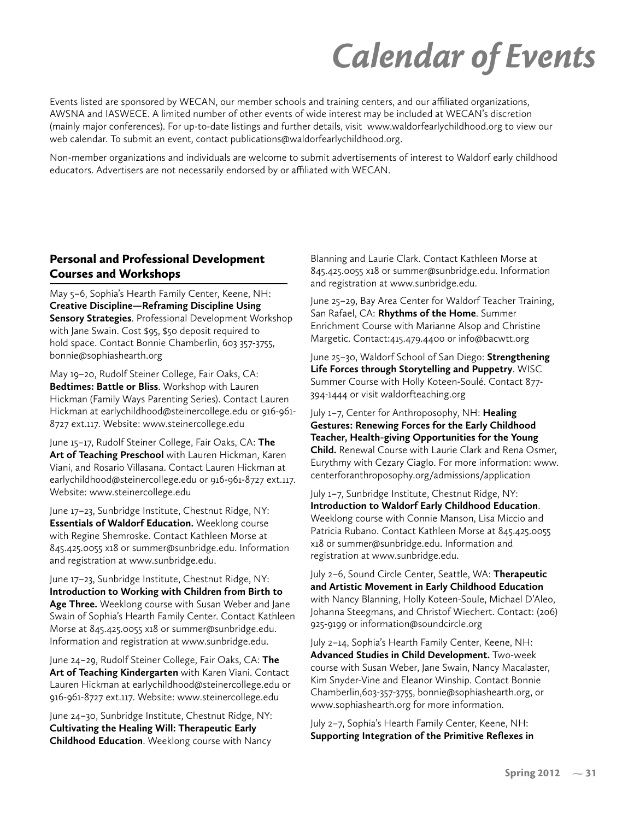# Calendar of Events

Events listed are sponsored by WECAN, our member schools and training centers, and our affiliated organizations, AWSNA and IASWECE. A limited number of other events of wide interest may be included at WECAN's discretion (mainly major conferences). For up-to-date listings and further details, visit www.waldorfearlychildhood.org to view our web calendar. To submit an event, contact publications@waldorfearlychildhood.org.

Non-member organizations and individuals are welcome to submit advertisements of interest to Waldorf early childhood educators. Advertisers are not necessarily endorsed by or affiliated with WECAN.

#### Personal and Professional Development Courses and Workshops

May 5–6, Sophia's Hearth Family Center, Keene, NH: **Creative Discipline—Reframing Discipline Using Sensory Strategies**. Professional Development Workshop with Jane Swain. Cost \$95, \$50 deposit required to hold space. Contact Bonnie Chamberlin, 603 357-3755, bonnie@sophiashearth.org

May 19–20, Rudolf Steiner College, Fair Oaks, CA: **Bedtimes: Battle or Bliss**. Workshop with Lauren Hickman (Family Ways Parenting Series). Contact Lauren Hickman at earlychildhood@steinercollege.edu or 916-961- 8727 ext.117. Website: www.steinercollege.edu

June 15–17, Rudolf Steiner College, Fair Oaks, CA: **The Art of Teaching Preschool** with Lauren Hickman, Karen Viani, and Rosario Villasana. Contact Lauren Hickman at earlychildhood@steinercollege.edu or 916-961-8727 ext.117. Website: www.steinercollege.edu

June 17–23, Sunbridge Institute, Chestnut Ridge, NY: **Essentials of Waldorf Education.** Weeklong course with Regine Shemroske. Contact Kathleen Morse at 845.425.0055 x18 or summer@sunbridge.edu. Information and registration at www.sunbridge.edu.

June 17–23, Sunbridge Institute, Chestnut Ridge, NY: **Introduction to Working with Children from Birth to Age Three.** Weeklong course with Susan Weber and Jane Swain of Sophia's Hearth Family Center. Contact Kathleen Morse at 845.425.0055 x18 or summer@sunbridge.edu. Information and registration at www.sunbridge.edu.

June 24–29, Rudolf Steiner College, Fair Oaks, CA: **The Art of Teaching Kindergarten** with Karen Viani. Contact Lauren Hickman at earlychildhood@steinercollege.edu or 916-961-8727 ext.117. Website: www.steinercollege.edu

June 24–30, Sunbridge Institute, Chestnut Ridge, NY: **Cultivating the Healing Will: Therapeutic Early Childhood Education**. Weeklong course with Nancy

Blanning and Laurie Clark. Contact Kathleen Morse at 845.425.0055 x18 or summer@sunbridge.edu. Information and registration at www.sunbridge.edu.

June 25–29, Bay Area Center for Waldorf Teacher Training, San Rafael, CA: **Rhythms of the Home**. Summer Enrichment Course with Marianne Alsop and Christine Margetic. Contact:415.479.4400 or info@bacwtt.org

June 25–30, Waldorf School of San Diego: **Strengthening Life Forces through Storytelling and Puppetry**. WISC Summer Course with Holly Koteen-Soulé. Contact 877- 394-1444 or visit waldorfteaching.org

July 1–7, Center for Anthroposophy, NH: **Healing Gestures: Renewing Forces for the Early Childhood Teacher, Health-giving Opportunities for the Young Child.** Renewal Course with Laurie Clark and Rena Osmer, Eurythmy with Cezary Ciaglo. For more information: www. centerforanthroposophy.org/admissions/application

July 1–7, Sunbridge Institute, Chestnut Ridge, NY: **Introduction to Waldorf Early Childhood Education**. Weeklong course with Connie Manson, Lisa Miccio and Patricia Rubano. Contact Kathleen Morse at 845.425.0055 x18 or summer@sunbridge.edu. Information and registration at www.sunbridge.edu.

July 2–6, Sound Circle Center, Seattle, WA: **Therapeutic and Artistic Movement in Early Childhood Education** with Nancy Blanning, Holly Koteen-Soule, Michael D'Aleo, Johanna Steegmans, and Christof Wiechert. Contact: (206) 925-9199 or information@soundcircle.org

July 2–14, Sophia's Hearth Family Center, Keene, NH: **Advanced Studies in Child Development.** Two-week course with Susan Weber, Jane Swain, Nancy Macalaster, Kim Snyder-Vine and Eleanor Winship. Contact Bonnie Chamberlin,603-357-3755, bonnie@sophiashearth.org, or www.sophiashearth.org for more information.

July 2–7, Sophia's Hearth Family Center, Keene, NH: **Supporting Integration of the Primitive Reflexes in**